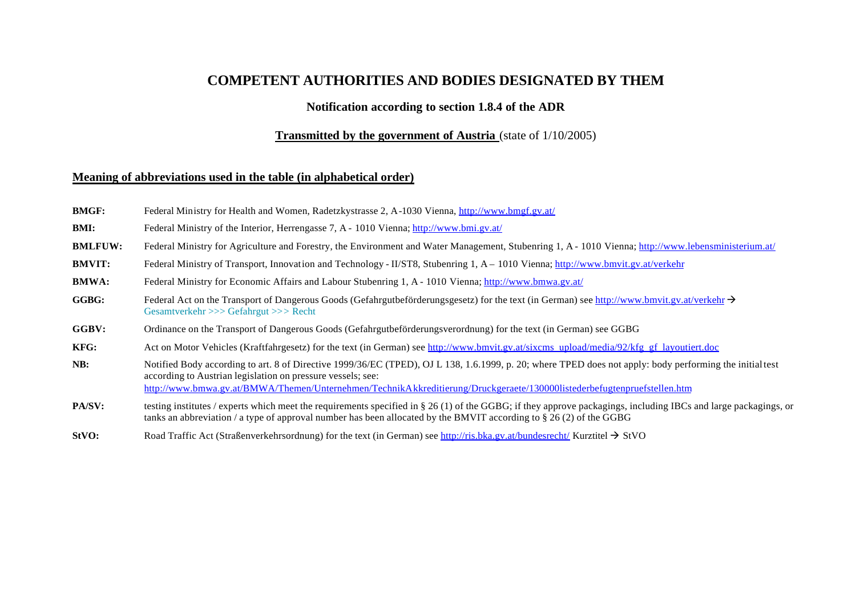## **COMPETENT AUTHORITIES AND BODIES DESIGNATED BY THEM**

## **Notification according to section 1.8.4 of the ADR**

## **Transmitted by the government of Austria** (state of 1/10/2005)

## **Meaning of abbreviations used in the table (in alphabetical order)**

- **BMGF:** Federal Ministry for Health and Women, Radetzkystrasse 2, A-1030 Vienna, http://www.bmgf.gv.at/
- **BMI:** Federal Ministry of the Interior, Herrengasse 7, A 1010 Vienna; http://www.bmi.gv.at/
- **BMLFUW:** Federal Ministry for Agriculture and Forestry, the Environment and Water Management, Stubenring 1, A 1010 Vienna; http://www.lebensministerium.at/
- **BMVIT:** Federal Ministry of Transport, Innovation and Technology II/ST8, Stubenring 1, A 1010 Vienna; http://www.bmvit.gv.at/verkehr
- **BMWA:** Federal Ministry for Economic Affairs and Labour Stubenring 1, A 1010 Vienna; http://www.bmwa.gv.at/
- **GGBG:** Federal Act on the Transport of Dangerous Goods (Gefahrgutbeförderungsgesetz) for the text (in German) see http://www.bmvit.gv.at/verkehr  $\rightarrow$ Gesamtverkehr >>> Gefahrgut >>> Recht
- **GGBV:** Ordinance on the Transport of Dangerous Goods (Gefahrgutbeförderungsverordnung) for the text (in German) see GGBG
- **KFG:** Act on Motor Vehicles (Kraftfahrgesetz) for the text (in German) see http://www.bmvit.gv.at/sixcms\_upload/media/92/kfg\_gf\_layoutiert.doc
- **NB:** Notified Body according to art. 8 of Directive 1999/36/EC (TPED), OJ L 138, 1.6.1999, p. 20; where TPED does not apply: body performing the initial test according to Austrian legislation on pressure vessels; see: http://www.bmwa.gv.at/BMWA/Themen/Unternehmen/TechnikAkkreditierung/Druckgeraete/130000listederbefugtenpruefstellen.htm
- **PA/SV:** testing institutes / experts which meet the requirements specified in § 26 (1) of the GGBG; if they approve packagings, including IBCs and large packagings, or tanks an abbreviation / a type of approval number has been allocated by the BMVIT according to § 26 (2) of the GGBG
- **StVO:** Road Traffic Act (Straßenverkehrsordnung) for the text (in German) see http://ris.bka.gv.at/bundesrecht/ Kurztitel  $\rightarrow$  StVO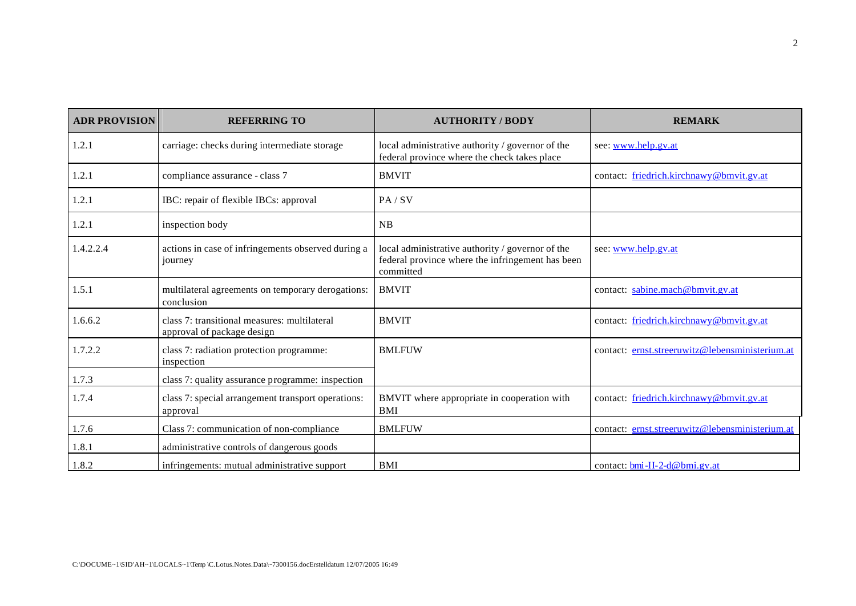| <b>ADR PROVISION</b> | <b>REFERRING TO</b>                                                        | <b>AUTHORITY / BODY</b>                                                                                           | <b>REMARK</b>                                   |
|----------------------|----------------------------------------------------------------------------|-------------------------------------------------------------------------------------------------------------------|-------------------------------------------------|
| 1.2.1                | carriage: checks during intermediate storage                               | local administrative authority / governor of the<br>federal province where the check takes place                  | see: www.help.gv.at                             |
| 1.2.1                | compliance assurance - class 7                                             | <b>BMVIT</b>                                                                                                      | contact: friedrich.kirchnawy@bmvit.gv.at        |
| 1.2.1                | IBC: repair of flexible IBCs: approval                                     | PA / SV                                                                                                           |                                                 |
| 1.2.1                | inspection body                                                            | NB                                                                                                                |                                                 |
| 1.4.2.2.4            | actions in case of infringements observed during a<br>journey              | local administrative authority / governor of the<br>federal province where the infringement has been<br>committed | see: www.help.gv.at                             |
| 1.5.1                | multilateral agreements on temporary derogations:<br>conclusion            | <b>BMVIT</b>                                                                                                      | contact: sabine.mach@bmvit.gv.at                |
| 1.6.6.2              | class 7: transitional measures: multilateral<br>approval of package design | <b>BMVIT</b>                                                                                                      | contact: friedrich.kirchnawy@bmvit.gv.at        |
| 1.7.2.2              | class 7: radiation protection programme:<br>inspection                     | <b>BMLFUW</b>                                                                                                     | contact: ernst.streeruwitz@lebensministerium.at |
| 1.7.3                | class 7: quality assurance programme: inspection                           |                                                                                                                   |                                                 |
| 1.7.4                | class 7: special arrangement transport operations:<br>approval             | BMVIT where appropriate in cooperation with<br><b>BMI</b>                                                         | contact: friedrich.kirchnawy@bmvit.gv.at        |
| 1.7.6                | Class 7: communication of non-compliance                                   | <b>BMLFUW</b>                                                                                                     | contact: ernst.streeruwitz@lebensministerium.at |
| 1.8.1                | administrative controls of dangerous goods                                 |                                                                                                                   |                                                 |
| 1.8.2                | infringements: mutual administrative support                               | <b>BMI</b>                                                                                                        | contact: bmi-II-2-d@bmi.gv.at                   |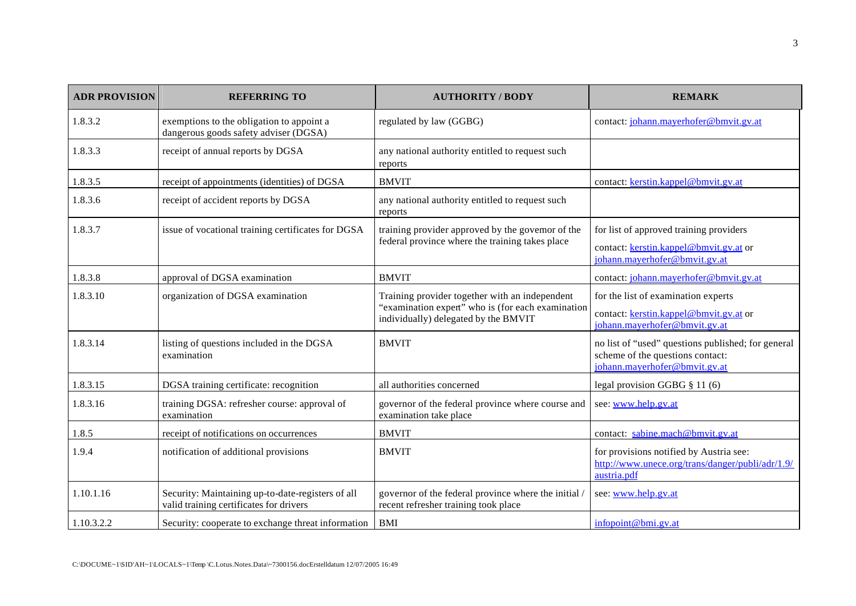| <b>ADR PROVISION</b> | <b>REFERRING TO</b>                                                                          | <b>AUTHORITY / BODY</b>                                                                                                                     | <b>REMARK</b>                                                                                                           |
|----------------------|----------------------------------------------------------------------------------------------|---------------------------------------------------------------------------------------------------------------------------------------------|-------------------------------------------------------------------------------------------------------------------------|
| 1.8.3.2              | exemptions to the obligation to appoint a<br>dangerous goods safety adviser (DGSA)           | regulated by law (GGBG)                                                                                                                     | contact: johann.mayerhofer@bmvit.gv.at                                                                                  |
| 1.8.3.3              | receipt of annual reports by DGSA                                                            | any national authority entitled to request such<br>reports                                                                                  |                                                                                                                         |
| 1.8.3.5              | receipt of appointments (identities) of DGSA                                                 | <b>BMVIT</b>                                                                                                                                | contact: kerstin.kappel@bmvit.gv.at                                                                                     |
| 1.8.3.6              | receipt of accident reports by DGSA                                                          | any national authority entitled to request such<br>reports                                                                                  |                                                                                                                         |
| 1.8.3.7              | issue of vocational training certificates for DGSA                                           | training provider approved by the governor of the<br>federal province where the training takes place                                        | for list of approved training providers<br>contact: kerstin.kappel@bmvit.gv.at or<br>johann.mayerhofer@bmvit.gv.at      |
| 1.8.3.8              | approval of DGSA examination                                                                 | <b>BMVIT</b>                                                                                                                                | contact: johann.mayerhofer@bmvit.gv.at                                                                                  |
| 1.8.3.10             | organization of DGSA examination                                                             | Training provider together with an independent<br>"examination expert" who is (for each examination<br>individually) delegated by the BMVIT | for the list of examination experts<br>contact: kerstin.kappel@bmvit.gv.at or<br>johann.mayerhofer@bmvit.gv.at          |
| 1.8.3.14             | listing of questions included in the DGSA<br>examination                                     | <b>BMVIT</b>                                                                                                                                | no list of "used" questions published; for general<br>scheme of the questions contact:<br>johann.mayerhofer@bmvit.gv.at |
| 1.8.3.15             | DGSA training certificate: recognition                                                       | all authorities concerned                                                                                                                   | legal provision GGBG $§$ 11 (6)                                                                                         |
| 1.8.3.16             | training DGSA: refresher course: approval of<br>examination                                  | governor of the federal province where course and<br>examination take place                                                                 | see: www.help.gv.at                                                                                                     |
| 1.8.5                | receipt of notifications on occurrences                                                      | <b>BMVIT</b>                                                                                                                                | contact: sabine.mach@bmvit.gv.at                                                                                        |
| 1.9.4                | notification of additional provisions                                                        | <b>BMVIT</b>                                                                                                                                | for provisions notified by Austria see:<br>http://www.unece.org/trans/danger/publi/adr/1.9/<br>austria.pdf              |
| 1.10.1.16            | Security: Maintaining up-to-date-registers of all<br>valid training certificates for drivers | governor of the federal province where the initial /<br>recent refresher training took place                                                | see: www.help.gv.at                                                                                                     |
| 1.10.3.2.2           | Security: cooperate to exchange threat information   BMI                                     |                                                                                                                                             | infopoint@bmi.gv.at                                                                                                     |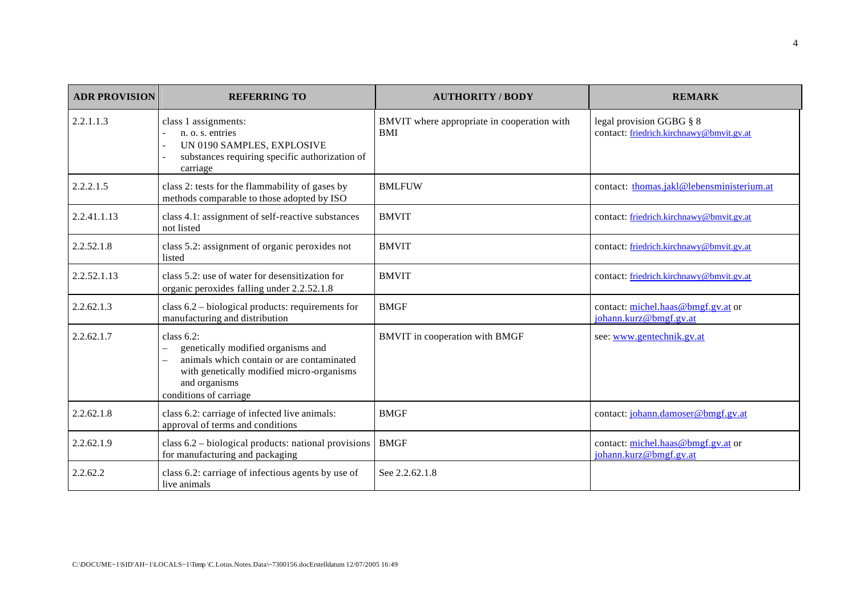| <b>ADR PROVISION</b> | <b>REFERRING TO</b>                                                                                                                                                                      | <b>AUTHORITY / BODY</b>                                   | <b>REMARK</b>                                                        |
|----------------------|------------------------------------------------------------------------------------------------------------------------------------------------------------------------------------------|-----------------------------------------------------------|----------------------------------------------------------------------|
| 2.2.1.1.3            | class 1 assignments:<br>n. o. s. entries<br>UN 0190 SAMPLES, EXPLOSIVE<br>substances requiring specific authorization of<br>carriage                                                     | BMVIT where appropriate in cooperation with<br><b>BMI</b> | legal provision GGBG § 8<br>contact: friedrich.kirchnawy@bmvit.gv.at |
| 2.2.2.1.5            | class 2: tests for the flammability of gases by<br>methods comparable to those adopted by ISO                                                                                            | <b>BMLFUW</b>                                             | contact: thomas.jakl@lebensministerium.at                            |
| 2.2.41.1.13          | class 4.1: assignment of self-reactive substances<br>not listed                                                                                                                          | <b>BMVIT</b>                                              | contact: friedrich.kirchnawy@bmvit.gv.at                             |
| 2.2.52.1.8           | class 5.2: assignment of organic peroxides not<br>listed                                                                                                                                 | <b>BMVIT</b>                                              | contact: friedrich.kirchnawy@bmvit.gv.at                             |
| 2.2.52.1.13          | class 5.2: use of water for desensitization for<br>organic peroxides falling under 2.2.52.1.8                                                                                            | <b>BMVIT</b>                                              | contact: friedrich.kirchnawy@bmvit.gv.at                             |
| 2.2.62.1.3           | class $6.2$ – biological products: requirements for<br>manufacturing and distribution                                                                                                    | <b>BMGF</b>                                               | contact: michel.haas@bmgf.gv.at or<br>johann.kurz@bmgf.gv.at         |
| 2.2.62.1.7           | class $6.2$ :<br>genetically modified organisms and<br>animals which contain or are contaminated<br>with genetically modified micro-organisms<br>and organisms<br>conditions of carriage | BMVIT in cooperation with BMGF                            | see: www.gentechnik.gv.at                                            |
| 2.2.62.1.8           | class 6.2: carriage of infected live animals:<br>approval of terms and conditions                                                                                                        | <b>BMGF</b>                                               | contact: johann.damoser@bmgf.gv.at                                   |
| 2.2.62.1.9           | class 6.2 - biological products: national provisions<br>for manufacturing and packaging                                                                                                  | <b>BMGF</b>                                               | contact: michel.haas@bmgf.gv.at or<br>johann.kurz@bmgf.gv.at         |
| 2.2.62.2             | class 6.2: carriage of infectious agents by use of<br>live animals                                                                                                                       | See 2.2.62.1.8                                            |                                                                      |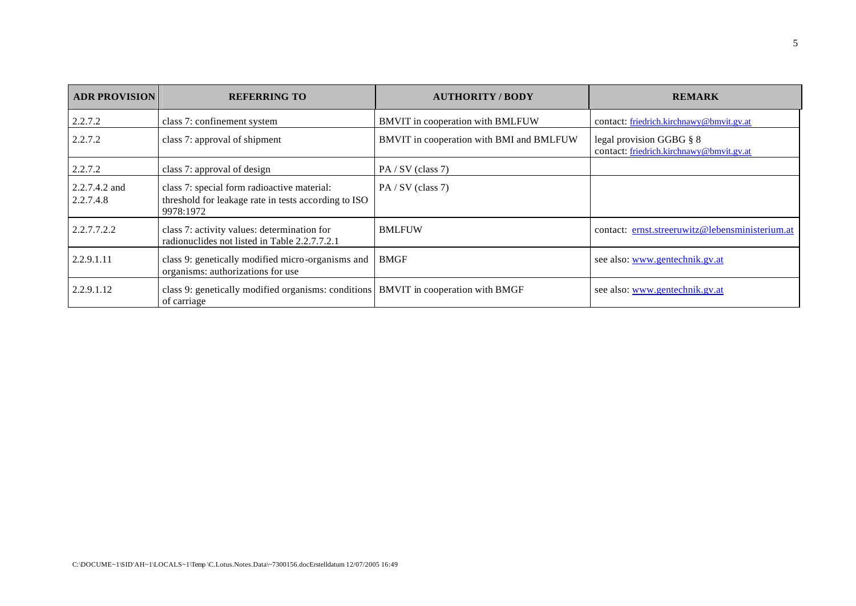| <b>ADR PROVISION</b>       | <b>REFERRING TO</b>                                                                                              | <b>AUTHORITY / BODY</b>                  | <b>REMARK</b>                                                        |
|----------------------------|------------------------------------------------------------------------------------------------------------------|------------------------------------------|----------------------------------------------------------------------|
| 2.2.7.2                    | class 7: confinement system                                                                                      | BMVIT in cooperation with BMLFUW         | contact: friedrich.kirchnawy@bmvit.gv.at                             |
| 2.2.7.2                    | class 7: approval of shipment                                                                                    | BMVIT in cooperation with BMI and BMLFUW | legal provision GGBG § 8<br>contact: friedrich.kirchnawy@bmvit.gv.at |
| 2.2.7.2                    | class 7: approval of design                                                                                      | PA/SV (class 7)                          |                                                                      |
| 2.2.7.4.2 and<br>2.2.7.4.8 | class 7: special form radioactive material:<br>threshold for leakage rate in tests according to ISO<br>9978:1972 | $PA / SV$ (class 7)                      |                                                                      |
| 2.2.7.7.2.2                | class 7: activity values: determination for<br>radionuclides not listed in Table 2.2.7.7.2.1                     | <b>BMLFUW</b>                            | contact: ernst.streeruwitz@lebensministerium.at                      |
| 2.2.9.1.11                 | class 9: genetically modified micro-organisms and<br>organisms: authorizations for use                           | <b>BMGF</b>                              | see also: www.gentechnik.gv.at                                       |
| 2.2.9.1.12                 | class 9: genetically modified organisms: conditions <b>BMVIT</b> in cooperation with BMGF<br>of carriage         |                                          | see also: www.gentechnik.gv.at                                       |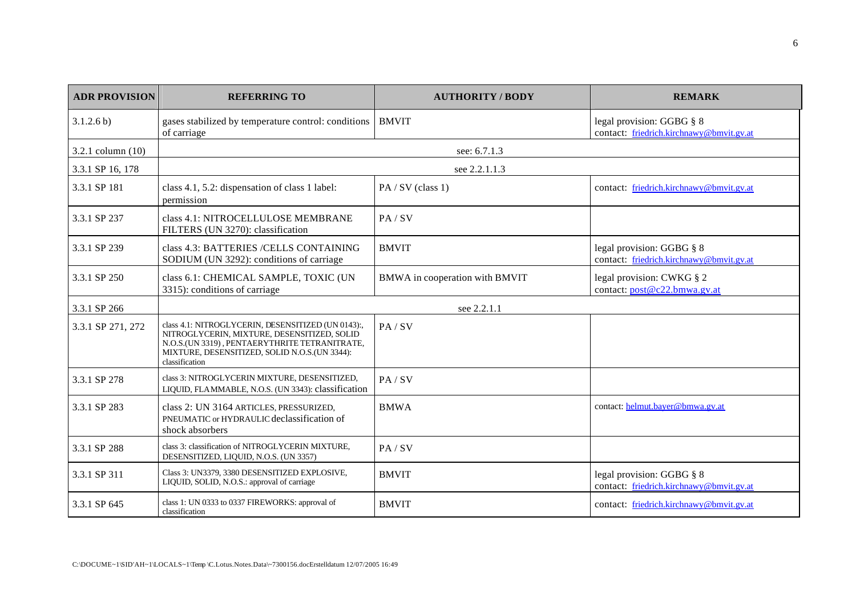| <b>ADR PROVISION</b> | <b>REFERRING TO</b>                                                                                                                                                                                                   | <b>AUTHORITY / BODY</b>        | <b>REMARK</b>                                                         |
|----------------------|-----------------------------------------------------------------------------------------------------------------------------------------------------------------------------------------------------------------------|--------------------------------|-----------------------------------------------------------------------|
| 3.1.2.6 b)           | gases stabilized by temperature control: conditions   BMVIT<br>of carriage                                                                                                                                            |                                | legal provision: GGBG § 8<br>contact: friedrich.kirchnawy@bmvit.gv.at |
| 3.2.1 column $(10)$  |                                                                                                                                                                                                                       | see: 6.7.1.3                   |                                                                       |
| 3.3.1 SP 16, 178     |                                                                                                                                                                                                                       | see 2.2.1.1.3                  |                                                                       |
| 3.3.1 SP 181         | class 4.1, 5.2: dispensation of class 1 label:<br>permission                                                                                                                                                          | PA/SV (class 1)                | contact: friedrich.kirchnawy@bmvit.gv.at                              |
| 3.3.1 SP 237         | class 4.1: NITROCELLULOSE MEMBRANE<br>FILTERS (UN 3270): classification                                                                                                                                               | PA / SV                        |                                                                       |
| 3.3.1 SP 239         | class 4.3: BATTERIES /CELLS CONTAINING<br>SODIUM (UN 3292): conditions of carriage                                                                                                                                    | <b>BMVIT</b>                   | legal provision: GGBG § 8<br>contact: friedrich.kirchnawy@bmvit.gv.at |
| 3.3.1 SP 250         | class 6.1: CHEMICAL SAMPLE, TOXIC (UN<br>3315): conditions of carriage                                                                                                                                                | BMWA in cooperation with BMVIT | legal provision: CWKG § 2<br>contact: post@c22.bmwa.gv.at             |
| 3.3.1 SP 266         |                                                                                                                                                                                                                       | see 2.2.1.1                    |                                                                       |
| 3.3.1 SP 271, 272    | class 4.1: NITROGLYCERIN, DESENSITIZED (UN 0143):,<br>NITROGLYCERIN, MIXTURE, DESENSITIZED, SOLID<br>N.O.S.(UN 3319), PENTAERYTHRITE TETRANITRATE,<br>MIXTURE, DESENSITIZED, SOLID N.O.S.(UN 3344):<br>classification | PA/SV                          |                                                                       |
| 3.3.1 SP 278         | class 3: NITROGLYCERIN MIXTURE, DESENSITIZED,<br>LIQUID, FLAMMABLE, N.O.S. (UN 3343): classification                                                                                                                  | PA / SV                        |                                                                       |
| 3.3.1 SP 283         | class 2: UN 3164 ARTICLES, PRESSURIZED,<br>PNEUMATIC or HYDRAULIC declassification of<br>shock absorbers                                                                                                              | <b>BMWA</b>                    | contact: helmut.bayer@bmwa.gv.at                                      |
| 3.3.1 SP 288         | class 3: classification of NITROGLYCERIN MIXTURE.<br>DESENSITIZED, LIQUID, N.O.S. (UN 3357)                                                                                                                           | PA / SV                        |                                                                       |
| 3.3.1 SP 311         | Class 3: UN3379, 3380 DESENSITIZED EXPLOSIVE,<br>LIQUID, SOLID, N.O.S.: approval of carriage                                                                                                                          | <b>BMVIT</b>                   | legal provision: GGBG § 8<br>contact: friedrich.kirchnawy@bmvit.gv.at |
| 3.3.1 SP 645         | class 1: UN 0333 to 0337 FIREWORKS: approval of<br>classification                                                                                                                                                     | <b>BMVIT</b>                   | contact: friedrich.kirchnawy@bmvit.gv.at                              |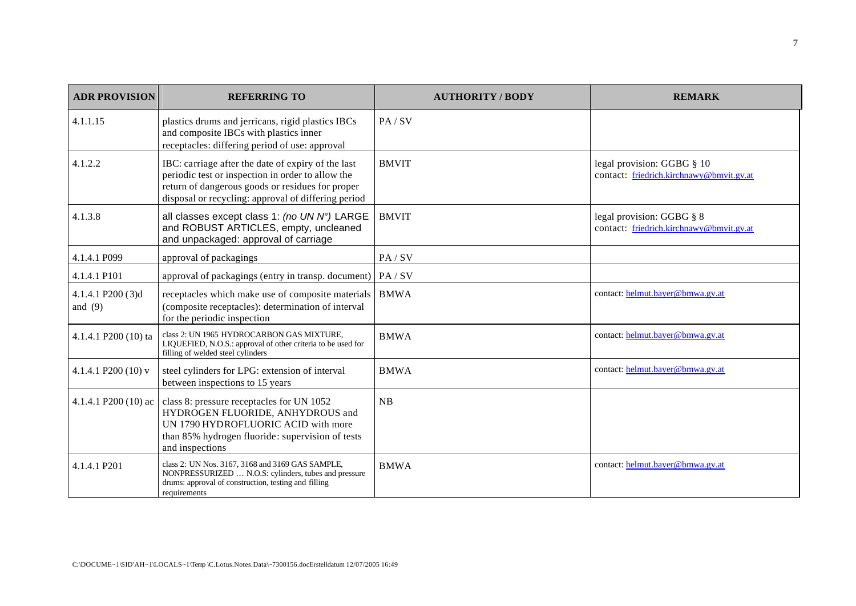| <b>ADR PROVISION</b>           | <b>REFERRING TO</b>                                                                                                                                                                                                | <b>AUTHORITY / BODY</b> | <b>REMARK</b>                                                          |
|--------------------------------|--------------------------------------------------------------------------------------------------------------------------------------------------------------------------------------------------------------------|-------------------------|------------------------------------------------------------------------|
| 4.1.1.15                       | plastics drums and jerricans, rigid plastics IBCs<br>and composite IBCs with plastics inner<br>receptacles: differing period of use: approval                                                                      | PA/SV                   |                                                                        |
| 4.1.2.2                        | IBC: carriage after the date of expiry of the last<br>periodic test or inspection in order to allow the<br>return of dangerous goods or residues for proper<br>disposal or recycling: approval of differing period | <b>BMVIT</b>            | legal provision: GGBG § 10<br>contact: friedrich.kirchnawy@bmvit.gv.at |
| 4.1.3.8                        | all classes except class 1: (no UN N°) LARGE<br>and ROBUST ARTICLES, empty, uncleaned<br>and unpackaged: approval of carriage                                                                                      | <b>BMVIT</b>            | legal provision: GGBG § 8<br>contact: friedrich.kirchnawy@bmvit.gv.at  |
| 4.1.4.1 P099                   | approval of packagings                                                                                                                                                                                             | PA/SV                   |                                                                        |
| 4.1.4.1 P101                   | approval of packagings (entry in transp. document)   PA / SV                                                                                                                                                       |                         |                                                                        |
| 4.1.4.1 P200 (3)d<br>and $(9)$ | receptacles which make use of composite materials<br>(composite receptacles): determination of interval<br>for the periodic inspection                                                                             | <b>BMWA</b>             | contact: helmut.bayer@bmwa.gv.at                                       |
| 4.1.4.1 P200 (10) ta           | class 2: UN 1965 HYDROCARBON GAS MIXTURE,<br>LIQUEFIED, N.O.S.: approval of other criteria to be used for<br>filling of welded steel cylinders                                                                     | <b>BMWA</b>             | contact: helmut.bayer@bmwa.gv.at                                       |
| 4.1.4.1 P200 (10) v            | steel cylinders for LPG: extension of interval<br>between inspections to 15 years                                                                                                                                  | <b>BMWA</b>             | contact: helmut.bayer@bmwa.gv.at                                       |
|                                | 4.1.4.1 P200 (10) ac class 8: pressure receptacles for UN 1052<br>HYDROGEN FLUORIDE, ANHYDROUS and<br>UN 1790 HYDROFLUORIC ACID with more<br>than 85% hydrogen fluoride: supervision of tests<br>and inspections   | NB                      |                                                                        |
| 4.1.4.1 P201                   | class 2: UN Nos. 3167, 3168 and 3169 GAS SAMPLE,<br>NONPRESSURIZED  N.O.S: cylinders, tubes and pressure<br>drums: approval of construction, testing and filling<br>requirements                                   | <b>BMWA</b>             | contact: helmut.bayer@bmwa.gv.at                                       |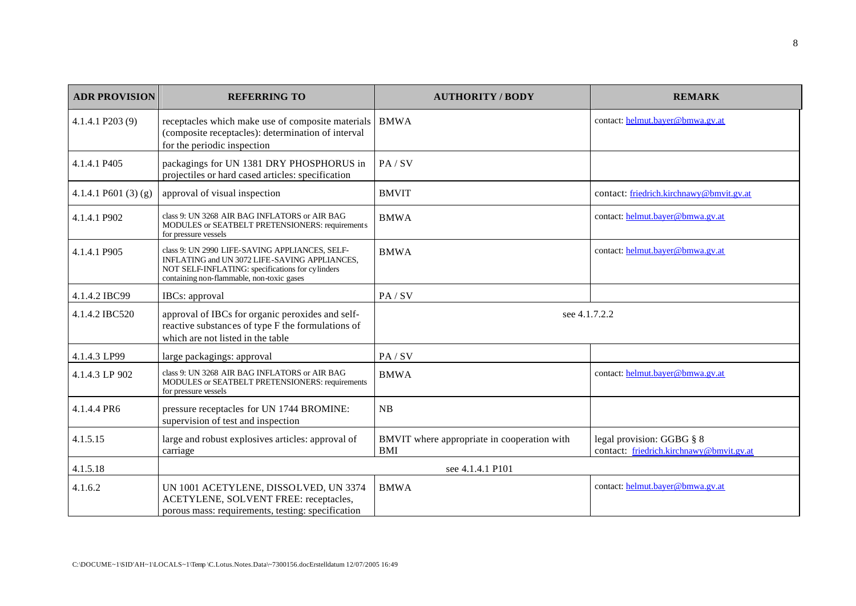| <b>ADR PROVISION</b>  | <b>REFERRING TO</b>                                                                                                                                                                              | <b>AUTHORITY / BODY</b>                                   | <b>REMARK</b>                                                         |  |
|-----------------------|--------------------------------------------------------------------------------------------------------------------------------------------------------------------------------------------------|-----------------------------------------------------------|-----------------------------------------------------------------------|--|
| 4.1.4.1 P203 (9)      | receptacles which make use of composite materials<br>(composite receptacles): determination of interval<br>for the periodic inspection                                                           | <b>BMWA</b>                                               | contact: helmut.bayer@bmwa.gv.at                                      |  |
| 4.1.4.1 P405          | packagings for UN 1381 DRY PHOSPHORUS in<br>projectiles or hard cased articles: specification                                                                                                    | PA/SV                                                     |                                                                       |  |
| 4.1.4.1 P601 $(3)(g)$ | approval of visual inspection                                                                                                                                                                    | <b>BMVIT</b>                                              | contact: friedrich.kirchnawy@bmvit.gv.at                              |  |
| 4.1.4.1 P902          | class 9: UN 3268 AIR BAG INFLATORS or AIR BAG<br>MODULES or SEATBELT PRETENSIONERS: requirements<br>for pressure vessels                                                                         | <b>BMWA</b>                                               | contact: helmut.bayer@bmwa.gv.at                                      |  |
| 4.1.4.1 P905          | class 9: UN 2990 LIFE-SAVING APPLIANCES, SELF-<br>INFLATING and UN 3072 LIFE-SAVING APPLIANCES,<br>NOT SELF-INFLATING: specifications for cylinders<br>containing non-flammable, non-toxic gases | <b>BMWA</b>                                               | contact: helmut.bayer@bmwa.gv.at                                      |  |
| 4.1.4.2 IBC99         | IBCs: approval                                                                                                                                                                                   | PA/SV                                                     |                                                                       |  |
| 4.1.4.2 IBC520        | approval of IBCs for organic peroxides and self-<br>reactive substances of type F the formulations of<br>which are not listed in the table                                                       | see 4.1.7.2.2                                             |                                                                       |  |
| 4.1.4.3 LP99          | large packagings: approval                                                                                                                                                                       | PA/SV                                                     |                                                                       |  |
| 4.1.4.3 LP 902        | class 9: UN 3268 AIR BAG INFLATORS or AIR BAG<br>MODULES or SEATBELT PRETENSIONERS: requirements<br>for pressure vessels                                                                         | <b>BMWA</b>                                               | contact: helmut.bayer@bmwa.gv.at                                      |  |
| 4.1.4.4 PR6           | pressure receptacles for UN 1744 BROMINE:<br>supervision of test and inspection                                                                                                                  | NB                                                        |                                                                       |  |
| 4.1.5.15              | large and robust explosives articles: approval of<br>carriage                                                                                                                                    | BMVIT where appropriate in cooperation with<br><b>BMI</b> | legal provision: GGBG § 8<br>contact: friedrich.kirchnawy@bmvit.gv.at |  |
| 4.1.5.18              |                                                                                                                                                                                                  | see 4.1.4.1 P101                                          |                                                                       |  |
| 4.1.6.2               | UN 1001 ACETYLENE, DISSOLVED, UN 3374<br>ACETYLENE, SOLVENT FREE: receptacles,<br>porous mass: requirements, testing: specification                                                              | <b>BMWA</b>                                               | contact: helmut.bayer@bmwa.gv.at                                      |  |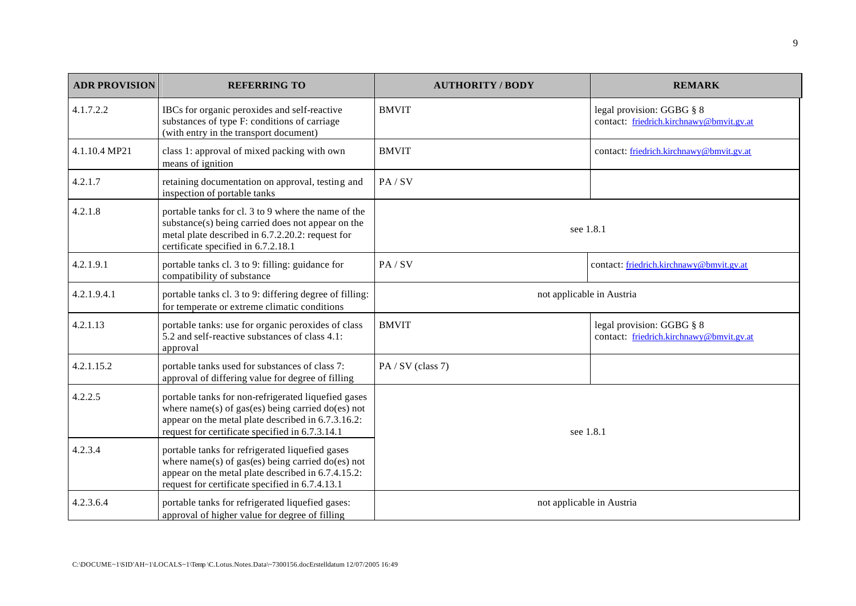| <b>ADR PROVISION</b> | <b>REFERRING TO</b>                                                                                                                                                                                                 | <b>AUTHORITY / BODY</b>   | <b>REMARK</b>                                                         |
|----------------------|---------------------------------------------------------------------------------------------------------------------------------------------------------------------------------------------------------------------|---------------------------|-----------------------------------------------------------------------|
| 4.1.7.2.2            | IBCs for organic peroxides and self-reactive<br>substances of type F: conditions of carriage<br>(with entry in the transport document)                                                                              | <b>BMVIT</b>              | legal provision: GGBG § 8<br>contact: friedrich.kirchnawy@bmvit.gv.at |
| 4.1.10.4 MP21        | class 1: approval of mixed packing with own<br>means of ignition                                                                                                                                                    | <b>BMVIT</b>              | contact: friedrich.kirchnawy@bmvit.gv.at                              |
| 4.2.1.7              | retaining documentation on approval, testing and<br>inspection of portable tanks                                                                                                                                    | PA / SV                   |                                                                       |
| 4.2.1.8              | portable tanks for cl. 3 to 9 where the name of the<br>substance(s) being carried does not appear on the<br>metal plate described in 6.7.2.20.2: request for<br>certificate specified in 6.7.2.18.1                 | see 1.8.1                 |                                                                       |
| 4.2.1.9.1            | portable tanks cl. 3 to 9: filling: guidance for<br>compatibility of substance                                                                                                                                      | PA / SV                   | contact: friedrich.kirchnawy@bmvit.gv.at                              |
| 4.2.1.9.4.1          | portable tanks cl. 3 to 9: differing degree of filling:<br>for temperate or extreme climatic conditions                                                                                                             | not applicable in Austria |                                                                       |
| 4.2.1.13             | portable tanks: use for organic peroxides of class<br>5.2 and self-reactive substances of class 4.1:<br>approval                                                                                                    | <b>BMVIT</b>              | legal provision: GGBG § 8<br>contact: friedrich.kirchnawy@bmvit.gv.at |
| 4.2.1.15.2           | portable tanks used for substances of class 7:<br>approval of differing value for degree of filling                                                                                                                 | PA/SV (class 7)           |                                                                       |
| 4.2.2.5              | portable tanks for non-refrigerated liquefied gases<br>where $name(s)$ of gas(es) being carried do(es) not<br>appear on the metal plate described in 6.7.3.16.2:<br>request for certificate specified in 6.7.3.14.1 | see 1.8.1                 |                                                                       |
| 4.2.3.4              | portable tanks for refrigerated liquefied gases<br>where $name(s)$ of gas(es) being carried do(es) not<br>appear on the metal plate described in 6.7.4.15.2:<br>request for certificate specified in 6.7.4.13.1     |                           |                                                                       |
| 4.2.3.6.4            | portable tanks for refrigerated liquefied gases:<br>approval of higher value for degree of filling                                                                                                                  | not applicable in Austria |                                                                       |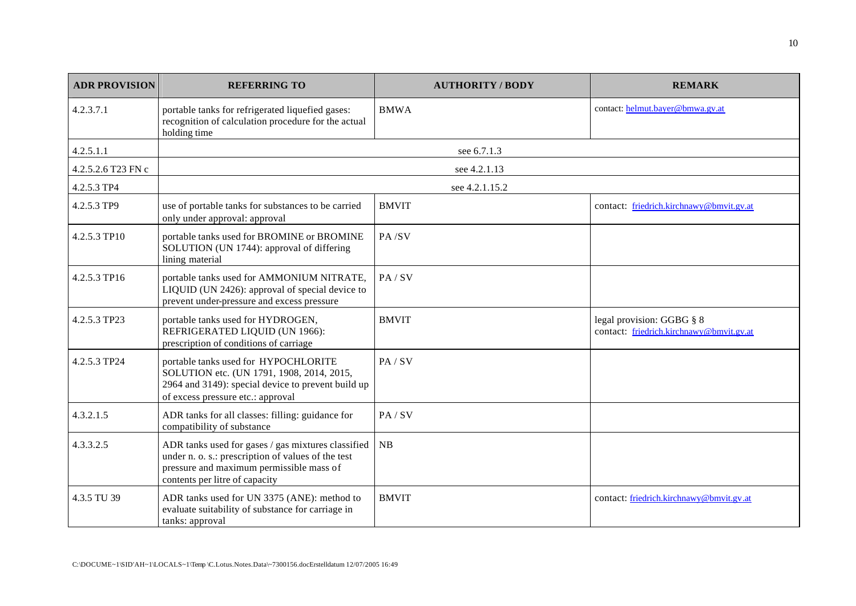| <b>ADR PROVISION</b> | <b>REFERRING TO</b>                                                                                                                                                                    | <b>AUTHORITY / BODY</b> | <b>REMARK</b>                                                         |
|----------------------|----------------------------------------------------------------------------------------------------------------------------------------------------------------------------------------|-------------------------|-----------------------------------------------------------------------|
| 4.2.3.7.1            | portable tanks for refrigerated liquefied gases:<br>recognition of calculation procedure for the actual<br>holding time                                                                | <b>BMWA</b>             | contact: helmut.bayer@bmwa.gv.at                                      |
| 4.2.5.1.1            |                                                                                                                                                                                        | see 6.7.1.3             |                                                                       |
| 4.2.5.2.6 T23 FN c   |                                                                                                                                                                                        | see 4.2.1.13            |                                                                       |
| 4.2.5.3 TP4          |                                                                                                                                                                                        | see 4.2.1.15.2          |                                                                       |
| 4.2.5.3 TP9          | use of portable tanks for substances to be carried<br>only under approval: approval                                                                                                    | <b>BMVIT</b>            | contact: friedrich.kirchnawy@bmvit.gv.at                              |
| 4.2.5.3 TP10         | portable tanks used for BROMINE or BROMINE<br>SOLUTION (UN 1744): approval of differing<br>lining material                                                                             | PA/SV                   |                                                                       |
| 4.2.5.3 TP16         | portable tanks used for AMMONIUM NITRATE,<br>LIQUID (UN 2426): approval of special device to<br>prevent under-pressure and excess pressure                                             | PA / SV                 |                                                                       |
| 4.2.5.3 TP23         | portable tanks used for HYDROGEN,<br>REFRIGERATED LIQUID (UN 1966):<br>prescription of conditions of carriage                                                                          | <b>BMVIT</b>            | legal provision: GGBG § 8<br>contact: friedrich.kirchnawy@bmvit.gv.at |
| 4.2.5.3 TP24         | portable tanks used for HYPOCHLORITE<br>SOLUTION etc. (UN 1791, 1908, 2014, 2015,<br>2964 and 3149): special device to prevent build up<br>of excess pressure etc.: approval           | PA / SV                 |                                                                       |
| 4.3.2.1.5            | ADR tanks for all classes: filling: guidance for<br>compatibility of substance                                                                                                         | PA / SV                 |                                                                       |
| 4.3.3.2.5            | ADR tanks used for gases / gas mixtures classified<br>under n. o. s.: prescription of values of the test<br>pressure and maximum permissible mass of<br>contents per litre of capacity | NB                      |                                                                       |
| 4.3.5 TU 39          | ADR tanks used for UN 3375 (ANE): method to<br>evaluate suitability of substance for carriage in<br>tanks: approval                                                                    | <b>BMVIT</b>            | contact: friedrich.kirchnawy@bmvit.gv.at                              |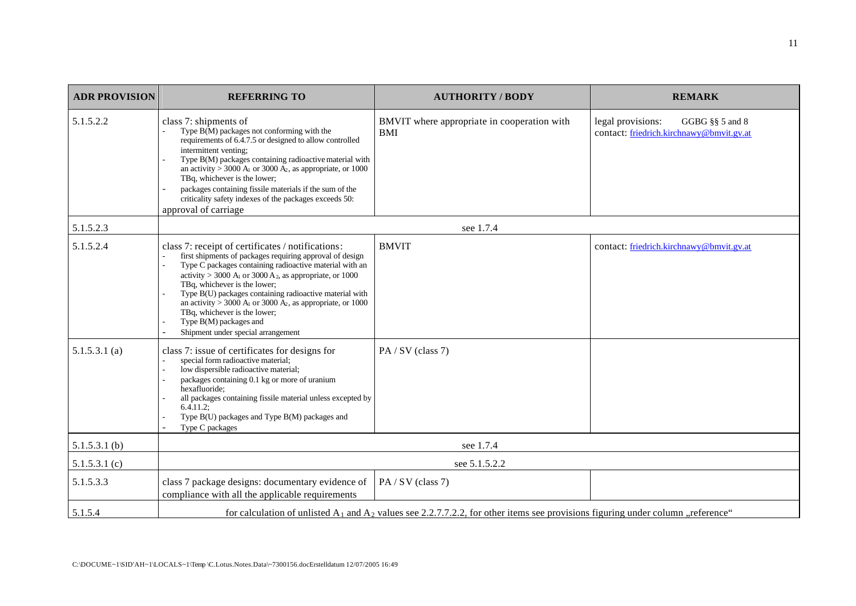| <b>ADR PROVISION</b> | <b>REFERRING TO</b>                                                                                                                                                                                                                                                                                                                                                                                                                                                                                                                          | <b>AUTHORITY / BODY</b>                                                                                                              | <b>REMARK</b>                                                                    |  |
|----------------------|----------------------------------------------------------------------------------------------------------------------------------------------------------------------------------------------------------------------------------------------------------------------------------------------------------------------------------------------------------------------------------------------------------------------------------------------------------------------------------------------------------------------------------------------|--------------------------------------------------------------------------------------------------------------------------------------|----------------------------------------------------------------------------------|--|
| 5.1.5.2.2            | class 7: shipments of<br>Type $B(M)$ packages not conforming with the<br>requirements of 6.4.7.5 or designed to allow controlled<br>intermittent venting;<br>Type B(M) packages containing radioactive material with<br>an activity > 3000 $A_1$ or 3000 $A_2$ , as appropriate, or 1000<br>TBq, whichever is the lower;<br>packages containing fissile materials if the sum of the<br>criticality safety indexes of the packages exceeds 50:<br>approval of carriage                                                                        | BMVIT where appropriate in cooperation with<br><b>BMI</b>                                                                            | legal provisions:<br>GGBG §§ 5 and 8<br>contact: friedrich.kirchnawy@bmvit.gv.at |  |
| 5.1.5.2.3            |                                                                                                                                                                                                                                                                                                                                                                                                                                                                                                                                              | see 1.7.4                                                                                                                            |                                                                                  |  |
| 5.1.5.2.4            | class 7: receipt of certificates / notifications:<br>first shipments of packages requiring approval of design<br>Type C packages containing radioactive material with an<br>activity > 3000 A <sub>1</sub> or 3000 A <sub>2</sub> , as appropriate, or 1000<br>TBq, whichever is the lower;<br>Type B(U) packages containing radioactive material with<br>an activity > 3000 A <sub>1</sub> or 3000 A <sub>2</sub> , as appropriate, or 1000<br>TBq, whichever is the lower;<br>Type B(M) packages and<br>Shipment under special arrangement | <b>BMVIT</b>                                                                                                                         | contact: friedrich.kirchnawy@bmvit.gv.at                                         |  |
| 5.1.5.3.1(a)         | class 7: issue of certificates for designs for<br>special form radioactive material;<br>low dispersible radioactive material;<br>packages containing 0.1 kg or more of uranium<br>hexafluoride:<br>all packages containing fissile material unless excepted by<br>$6.4.11.2$ ;<br>Type B(U) packages and Type B(M) packages and<br>Type C packages                                                                                                                                                                                           | PA/SV (class 7)                                                                                                                      |                                                                                  |  |
| $5.1.5.3.1$ (b)      | see 1.7.4                                                                                                                                                                                                                                                                                                                                                                                                                                                                                                                                    |                                                                                                                                      |                                                                                  |  |
| 5.1.5.3.1(c)         | see 5.1.5.2.2                                                                                                                                                                                                                                                                                                                                                                                                                                                                                                                                |                                                                                                                                      |                                                                                  |  |
| 5.1.5.3.3            | class 7 package designs: documentary evidence of<br>compliance with all the applicable requirements                                                                                                                                                                                                                                                                                                                                                                                                                                          | PA/SV (class 7)                                                                                                                      |                                                                                  |  |
| 5.1.5.4              |                                                                                                                                                                                                                                                                                                                                                                                                                                                                                                                                              | for calculation of unlisted $A_1$ and $A_2$ values see 2.2.7.7.2.2, for other items see provisions figuring under column "reference" |                                                                                  |  |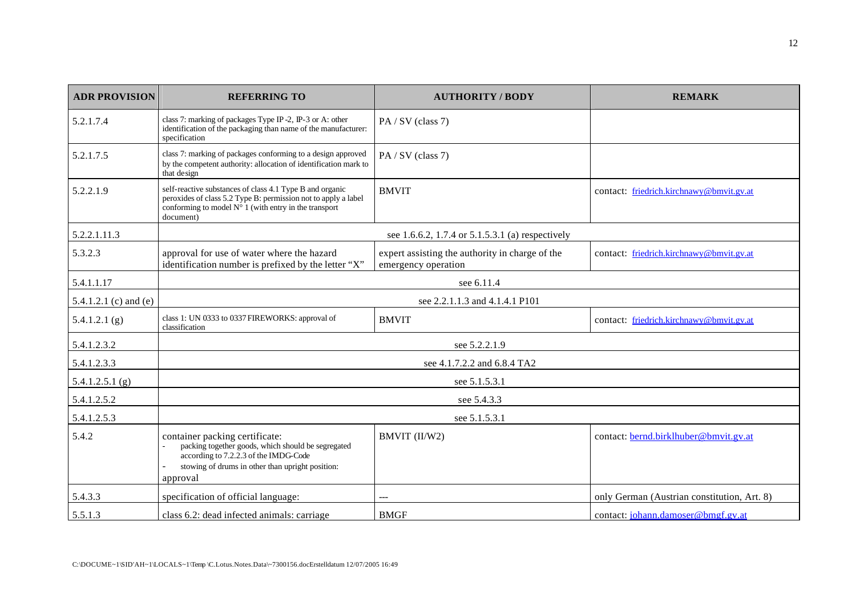| <b>ADR PROVISION</b>  | <b>REFERRING TO</b>                                                                                                                                                                                       | <b>AUTHORITY / BODY</b>                                                | <b>REMARK</b>                               |  |
|-----------------------|-----------------------------------------------------------------------------------------------------------------------------------------------------------------------------------------------------------|------------------------------------------------------------------------|---------------------------------------------|--|
| 5.2.1.7.4             | class 7: marking of packages Type IP-2, IP-3 or A: other<br>identification of the packaging than name of the manufacturer:<br>specification                                                               | PA / SV (class 7)                                                      |                                             |  |
| 5.2.1.7.5             | class 7: marking of packages conforming to a design approved<br>by the competent authority: allocation of identification mark to<br>that design                                                           | PA/SV (class 7)                                                        |                                             |  |
| 5.2.2.1.9             | self-reactive substances of class 4.1 Type B and organic<br>peroxides of class 5.2 Type B: permission not to apply a label<br>conforming to model $N^{\circ}$ 1 (with entry in the transport<br>document) | <b>BMVIT</b>                                                           | contact: friedrich.kirchnawy@bmvit.gv.at    |  |
| 5.2.2.1.11.3          |                                                                                                                                                                                                           | see 1.6.6.2, 1.7.4 or 5.1.5.3.1 (a) respectively                       |                                             |  |
| 5.3.2.3               | approval for use of water where the hazard<br>identification number is prefixed by the letter "X"                                                                                                         | expert assisting the authority in charge of the<br>emergency operation | contact: friedrich.kirchnawy@bmvit.gv.at    |  |
| 5.4.1.1.17            | see 6.11.4                                                                                                                                                                                                |                                                                        |                                             |  |
| 5.4.1.2.1 (c) and (e) |                                                                                                                                                                                                           | see 2.2.1.1.3 and 4.1.4.1 P101                                         |                                             |  |
| 5.4.1.2.1(g)          | class 1: UN 0333 to 0337 FIREWORKS: approval of<br>classification                                                                                                                                         | <b>BMVIT</b>                                                           | contact: friedrich.kirchnawy@bmvit.gv.at    |  |
| 5.4.1.2.3.2           | see 5.2.2.1.9                                                                                                                                                                                             |                                                                        |                                             |  |
| 5.4.1.2.3.3           |                                                                                                                                                                                                           | see 4.1.7.2.2 and 6.8.4 TA2                                            |                                             |  |
| 5.4.1.2.5.1(g)        |                                                                                                                                                                                                           | see 5.1.5.3.1                                                          |                                             |  |
| 5.4.1.2.5.2           |                                                                                                                                                                                                           | see 5.4.3.3                                                            |                                             |  |
| 5.4.1.2.5.3           | see 5.1.5.3.1                                                                                                                                                                                             |                                                                        |                                             |  |
| 5.4.2                 | container packing certificate:<br>packing together goods, which should be segregated<br>according to 7.2.2.3 of the IMDG-Code<br>stowing of drums in other than upright position:<br>approval             | BMVIT (II/W2)                                                          | contact: bernd.birklhuber@bmvit.gv.at       |  |
| 5.4.3.3               | specification of official language:                                                                                                                                                                       |                                                                        | only German (Austrian constitution, Art. 8) |  |
| 5.5.1.3               | class 6.2: dead infected animals: carriage                                                                                                                                                                | <b>BMGF</b>                                                            | contact: johann.damoser@bmgf.gv.at          |  |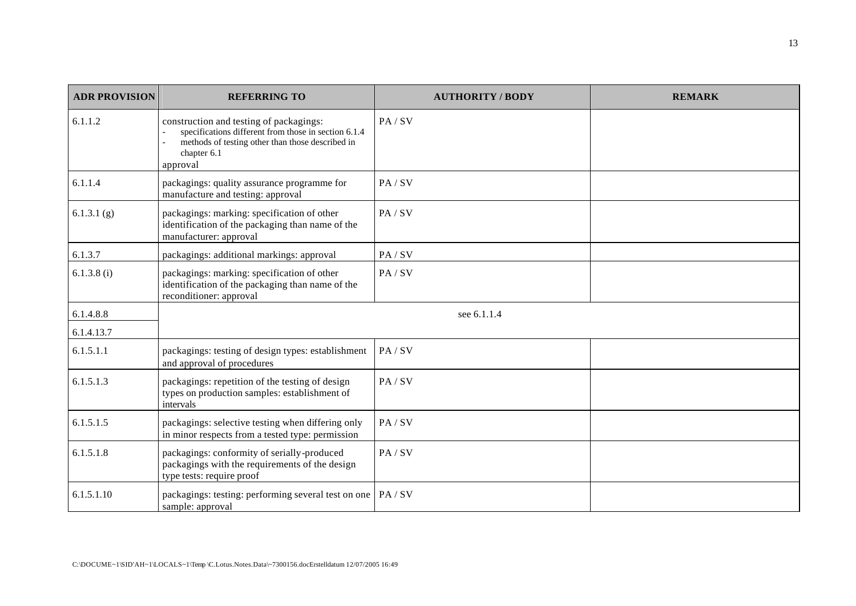| <b>ADR PROVISION</b>    | <b>REFERRING TO</b>                                                                                                                                                            | <b>AUTHORITY / BODY</b> | <b>REMARK</b> |
|-------------------------|--------------------------------------------------------------------------------------------------------------------------------------------------------------------------------|-------------------------|---------------|
| 6.1.1.2                 | construction and testing of packagings:<br>specifications different from those in section 6.1.4<br>methods of testing other than those described in<br>chapter 6.1<br>approval | PA/SV                   |               |
| 6.1.1.4                 | packagings: quality assurance programme for<br>manufacture and testing: approval                                                                                               | PA/SV                   |               |
| 6.1.3.1(g)              | packagings: marking: specification of other<br>identification of the packaging than name of the<br>manufacturer: approval                                                      | PA/SV                   |               |
| 6.1.3.7                 | packagings: additional markings: approval                                                                                                                                      | PA/SV                   |               |
| 6.1.3.8(i)              | packagings: marking: specification of other<br>identification of the packaging than name of the<br>reconditioner: approval                                                     | PA / SV                 |               |
| 6.1.4.8.8<br>6.1.4.13.7 |                                                                                                                                                                                | see 6.1.1.4             |               |
| 6.1.5.1.1               | packagings: testing of design types: establishment<br>and approval of procedures                                                                                               | PA/SV                   |               |
| 6.1.5.1.3               | packagings: repetition of the testing of design<br>types on production samples: establishment of<br>intervals                                                                  | PA / SV                 |               |
| 6.1.5.1.5               | packagings: selective testing when differing only<br>in minor respects from a tested type: permission                                                                          | PA/SV                   |               |
| 6.1.5.1.8               | packagings: conformity of serially-produced<br>packagings with the requirements of the design<br>type tests: require proof                                                     | PA/SV                   |               |
| 6.1.5.1.10              | packagings: testing: performing several test on one   PA / SV<br>sample: approval                                                                                              |                         |               |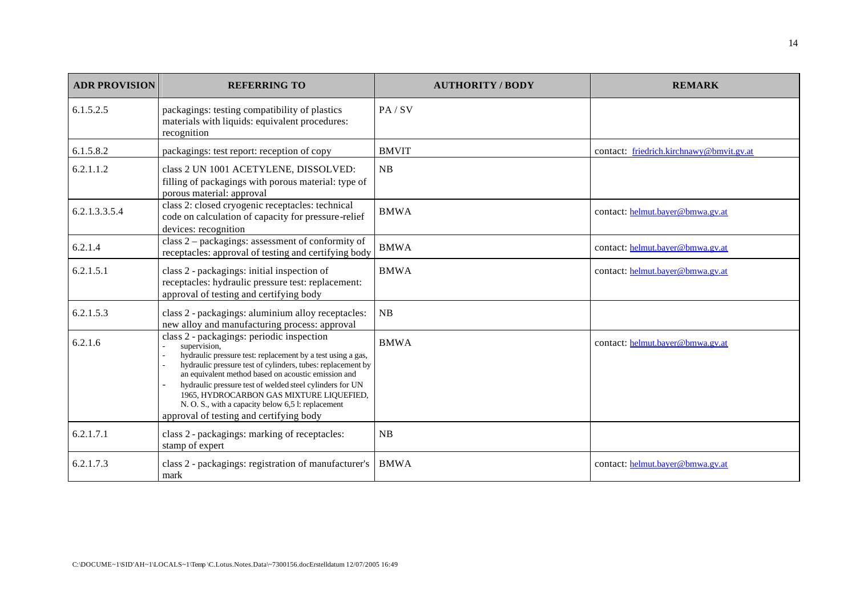| <b>ADR PROVISION</b> | <b>REFERRING TO</b>                                                                                                                                                                                                                                                                                                                                                                                                                                     | <b>AUTHORITY / BODY</b> | <b>REMARK</b>                            |
|----------------------|---------------------------------------------------------------------------------------------------------------------------------------------------------------------------------------------------------------------------------------------------------------------------------------------------------------------------------------------------------------------------------------------------------------------------------------------------------|-------------------------|------------------------------------------|
| 6.1.5.2.5            | packagings: testing compatibility of plastics<br>materials with liquids: equivalent procedures:<br>recognition                                                                                                                                                                                                                                                                                                                                          | PA/SV                   |                                          |
| 6.1.5.8.2            | packagings: test report: reception of copy                                                                                                                                                                                                                                                                                                                                                                                                              | <b>BMVIT</b>            | contact: friedrich.kirchnawy@bmvit.gv.at |
| 6.2.1.1.2            | class 2 UN 1001 ACETYLENE, DISSOLVED:<br>filling of packagings with porous material: type of<br>porous material: approval                                                                                                                                                                                                                                                                                                                               | NB                      |                                          |
| 6.2.1.3.3.5.4        | class 2: closed cryogenic receptacles: technical<br>code on calculation of capacity for pressure-relief<br>devices: recognition                                                                                                                                                                                                                                                                                                                         | <b>BMWA</b>             | contact: helmut.bayer@bmwa.gv.at         |
| 6.2.1.4              | class $2$ – packagings: assessment of conformity of<br>receptacles: approval of testing and certifying body                                                                                                                                                                                                                                                                                                                                             | <b>BMWA</b>             | contact: helmut.bayer@bmwa.gv.at         |
| 6.2.1.5.1            | class 2 - packagings: initial inspection of<br>receptacles: hydraulic pressure test: replacement:<br>approval of testing and certifying body                                                                                                                                                                                                                                                                                                            | <b>BMWA</b>             | contact: helmut.bayer@bmwa.gv.at         |
| 6.2.1.5.3            | class 2 - packagings: aluminium alloy receptacles:<br>new alloy and manufacturing process: approval                                                                                                                                                                                                                                                                                                                                                     | NB                      |                                          |
| 6.2.1.6              | class 2 - packagings: periodic inspection<br>supervision.<br>hydraulic pressure test: replacement by a test using a gas,<br>hydraulic pressure test of cylinders, tubes: replacement by<br>an equivalent method based on acoustic emission and<br>hydraulic pressure test of welded steel cylinders for UN<br>1965, HYDROCARBON GAS MIXTURE LIQUEFIED,<br>N. O. S., with a capacity below 6,5 l: replacement<br>approval of testing and certifying body | <b>BMWA</b>             | contact: helmut.bayer@bmwa.gv.at         |
| 6.2.1.7.1            | class 2 - packagings: marking of receptacles:<br>stamp of expert                                                                                                                                                                                                                                                                                                                                                                                        | NB                      |                                          |
| 6.2.1.7.3            | class 2 - packagings: registration of manufacturer's<br>mark                                                                                                                                                                                                                                                                                                                                                                                            | <b>BMWA</b>             | contact: helmut.bayer@bmwa.gv.at         |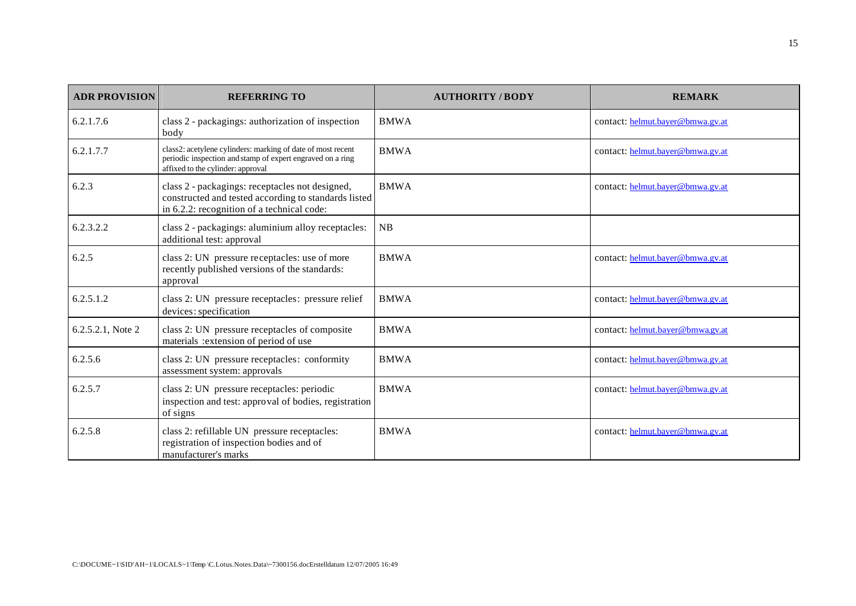| <b>ADR PROVISION</b> | <b>REFERRING TO</b>                                                                                                                                            | <b>AUTHORITY / BODY</b> | <b>REMARK</b>                    |
|----------------------|----------------------------------------------------------------------------------------------------------------------------------------------------------------|-------------------------|----------------------------------|
| 6.2.1.7.6            | class 2 - packagings: authorization of inspection<br>body                                                                                                      | <b>BMWA</b>             | contact: helmut.bayer@bmwa.gv.at |
| 6.2.1.7.7            | class2: acetylene cylinders: marking of date of most recent<br>periodic inspection and stamp of expert engraved on a ring<br>affixed to the cylinder: approval | <b>BMWA</b>             | contact: helmut.bayer@bmwa.gv.at |
| 6.2.3                | class 2 - packagings: receptacles not designed,<br>constructed and tested according to standards listed<br>in 6.2.2: recognition of a technical code:          | <b>BMWA</b>             | contact: helmut.bayer@bmwa.gv.at |
| 6.2.3.2.2            | class 2 - packagings: aluminium alloy receptacles:<br>additional test: approval                                                                                | NB                      |                                  |
| 6.2.5                | class 2: UN pressure receptacles: use of more<br>recently published versions of the standards:<br>approval                                                     | <b>BMWA</b>             | contact: helmut.bayer@bmwa.gv.at |
| 6.2.5.1.2            | class 2: UN pressure receptacles: pressure relief<br>devices: specification                                                                                    | <b>BMWA</b>             | contact: helmut.bayer@bmwa.gv.at |
| 6.2.5.2.1, Note 2    | class 2: UN pressure receptacles of composite<br>materials : extension of period of use                                                                        | <b>BMWA</b>             | contact: helmut.bayer@bmwa.gv.at |
| 6.2.5.6              | class 2: UN pressure receptacles: conformity<br>assessment system: approvals                                                                                   | <b>BMWA</b>             | contact: helmut.bayer@bmwa.gv.at |
| 6.2.5.7              | class 2: UN pressure receptacles: periodic<br>inspection and test: approval of bodies, registration<br>of signs                                                | <b>BMWA</b>             | contact: helmut.bayer@bmwa.gv.at |
| 6.2.5.8              | class 2: refillable UN pressure receptacles:<br>registration of inspection bodies and of<br>manufacturer's marks                                               | <b>BMWA</b>             | contact: helmut.bayer@bmwa.gv.at |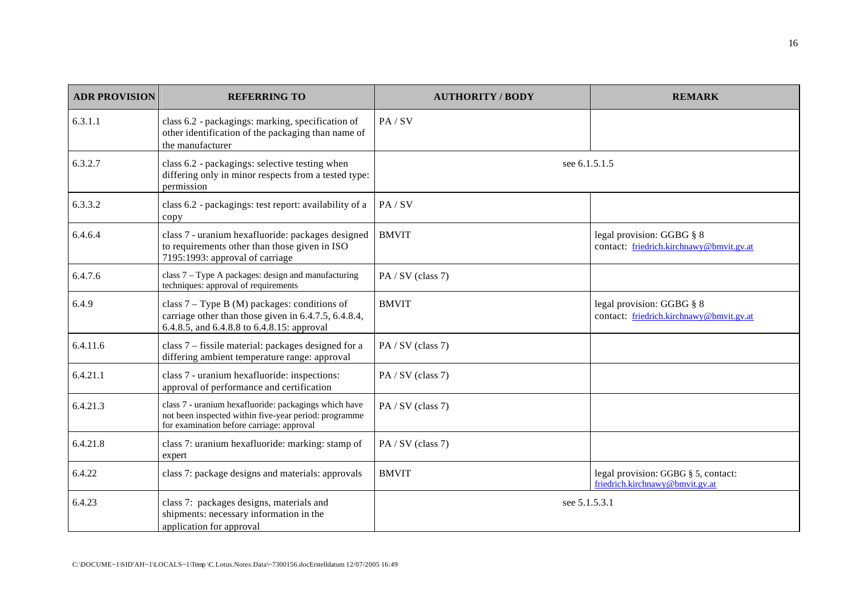| <b>ADR PROVISION</b> | <b>REFERRING TO</b>                                                                                                                                         | <b>AUTHORITY / BODY</b> | <b>REMARK</b>                                                          |
|----------------------|-------------------------------------------------------------------------------------------------------------------------------------------------------------|-------------------------|------------------------------------------------------------------------|
| 6.3.1.1              | class 6.2 - packagings: marking, specification of<br>other identification of the packaging than name of<br>the manufacturer                                 | PA/SV                   |                                                                        |
| 6.3.2.7              | class 6.2 - packagings: selective testing when<br>differing only in minor respects from a tested type:<br>permission                                        | see 6.1.5.1.5           |                                                                        |
| 6.3.3.2              | class 6.2 - packagings: test report: availability of a<br>copy                                                                                              | PA/SV                   |                                                                        |
| 6.4.6.4              | class 7 - uranium hexafluoride: packages designed<br>to requirements other than those given in ISO<br>7195:1993: approval of carriage                       | <b>BMVIT</b>            | legal provision: GGBG § 8<br>contact: friedrich.kirchnawy@bmvit.gv.at  |
| 6.4.7.6              | class 7 – Type A packages: design and manufacturing<br>techniques: approval of requirements                                                                 | PA/SV (class 7)         |                                                                        |
| 6.4.9                | class $7 - Type B (M)$ packages: conditions of<br>carriage other than those given in 6.4.7.5, 6.4.8.4,<br>6.4.8.5, and 6.4.8.8 to 6.4.8.15: approval        | <b>BMVIT</b>            | legal provision: GGBG § 8<br>contact: friedrich.kirchnawy@bmvit.gv.at  |
| 6.4.11.6             | class 7 – fissile material: packages designed for a<br>differing ambient temperature range: approval                                                        | PA/SV (class 7)         |                                                                        |
| 6.4.21.1             | class 7 - uranium hexafluoride: inspections:<br>approval of performance and certification                                                                   | PA / SV (class 7)       |                                                                        |
| 6.4.21.3             | class 7 - uranium hexafluoride: packagings which have<br>not been inspected within five-year period: programme<br>for examination before carriage: approval | PA / SV (class 7)       |                                                                        |
| 6.4.21.8             | class 7: uranium hexafluoride: marking: stamp of<br>expert                                                                                                  | PA/SV (class 7)         |                                                                        |
| 6.4.22               | class 7: package designs and materials: approvals                                                                                                           | <b>BMVIT</b>            | legal provision: GGBG § 5, contact:<br>friedrich.kirchnawy@bmvit.gv.at |
| 6.4.23               | class 7: packages designs, materials and<br>shipments: necessary information in the<br>application for approval                                             | see 5.1.5.3.1           |                                                                        |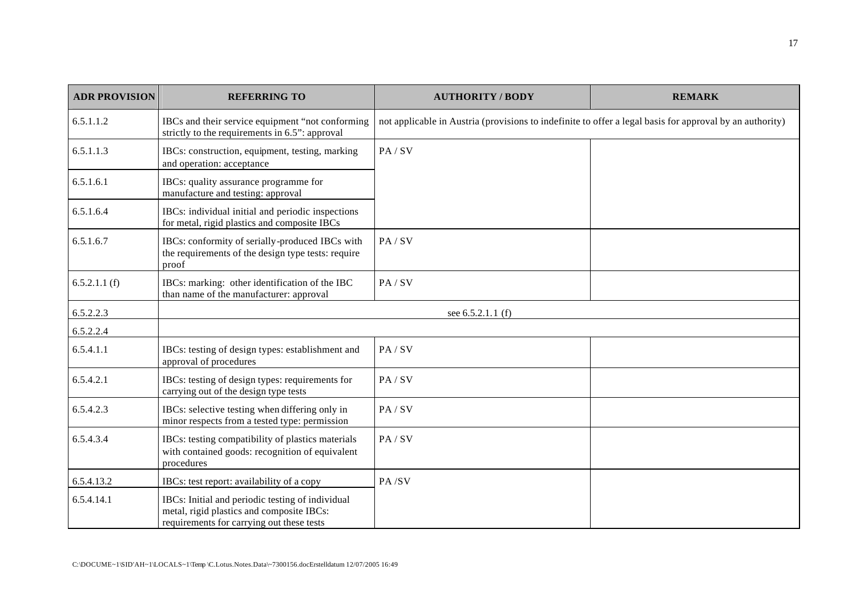| <b>ADR PROVISION</b> | <b>REFERRING TO</b>                                                                                                                        | <b>AUTHORITY / BODY</b>                                                                                  | <b>REMARK</b> |
|----------------------|--------------------------------------------------------------------------------------------------------------------------------------------|----------------------------------------------------------------------------------------------------------|---------------|
| 6.5.1.1.2            | IBCs and their service equipment "not conforming<br>strictly to the requirements in 6.5": approval                                         | not applicable in Austria (provisions to indefinite to offer a legal basis for approval by an authority) |               |
| 6.5.1.1.3            | IBCs: construction, equipment, testing, marking<br>and operation: acceptance                                                               | PA/SV                                                                                                    |               |
| 6.5.1.6.1            | IBCs: quality assurance programme for<br>manufacture and testing: approval                                                                 |                                                                                                          |               |
| 6.5.1.6.4            | IBCs: individual initial and periodic inspections<br>for metal, rigid plastics and composite IBCs                                          |                                                                                                          |               |
| 6.5.1.6.7            | IBCs: conformity of serially-produced IBCs with<br>the requirements of the design type tests: require<br>proof                             | PA/SV                                                                                                    |               |
| 6.5.2.1.1(f)         | IBCs: marking: other identification of the IBC<br>than name of the manufacturer: approval                                                  | PA/SV                                                                                                    |               |
| 6.5.2.2.3            |                                                                                                                                            | see 6.5.2.1.1 (f)                                                                                        |               |
| 6.5.2.2.4            |                                                                                                                                            |                                                                                                          |               |
| 6.5.4.1.1            | IBCs: testing of design types: establishment and<br>approval of procedures                                                                 | PA/SV                                                                                                    |               |
| 6.5.4.2.1            | IBCs: testing of design types: requirements for<br>carrying out of the design type tests                                                   | PA/SV                                                                                                    |               |
| 6.5.4.2.3            | IBCs: selective testing when differing only in<br>minor respects from a tested type: permission                                            | PA/SV                                                                                                    |               |
| 6.5.4.3.4            | IBCs: testing compatibility of plastics materials<br>with contained goods: recognition of equivalent<br>procedures                         | PA/SV                                                                                                    |               |
| 6.5.4.13.2           | IBCs: test report: availability of a copy                                                                                                  | PA/SV                                                                                                    |               |
| 6.5.4.14.1           | IBCs: Initial and periodic testing of individual<br>metal, rigid plastics and composite IBCs:<br>requirements for carrying out these tests |                                                                                                          |               |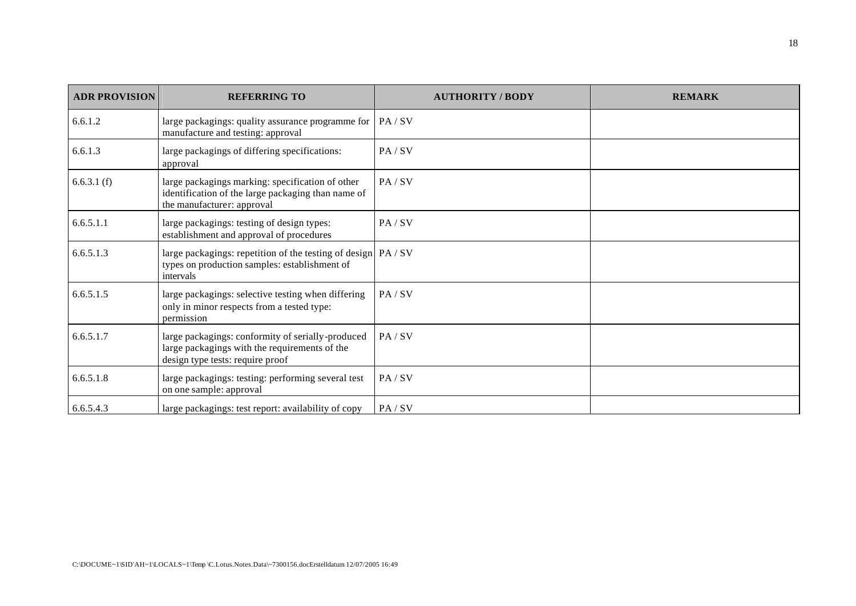| <b>ADR PROVISION</b> | <b>REFERRING TO</b>                                                                                                                    | <b>AUTHORITY / BODY</b> | <b>REMARK</b> |
|----------------------|----------------------------------------------------------------------------------------------------------------------------------------|-------------------------|---------------|
| 6.6.1.2              | large packagings: quality assurance programme for<br>manufacture and testing: approval                                                 | PA / SV                 |               |
| 6.6.1.3              | large packagings of differing specifications:<br>approval                                                                              | PA / SV                 |               |
| 6.6.3.1(f)           | large packagings marking: specification of other<br>identification of the large packaging than name of<br>the manufacturer: approval   | PA / SV                 |               |
| 6.6.5.1.1            | large packagings: testing of design types:<br>establishment and approval of procedures                                                 | PA / SV                 |               |
| 6.6.5.1.3            | large packagings: repetition of the testing of design PA / SV<br>types on production samples: establishment of<br>intervals            |                         |               |
| 6.6.5.1.5            | large packagings: selective testing when differing<br>only in minor respects from a tested type:<br>permission                         | PA / SV                 |               |
| 6.6.5.1.7            | large packagings: conformity of serially-produced<br>large packagings with the requirements of the<br>design type tests: require proof | PA / SV                 |               |
| 6.6.5.1.8            | large packagings: testing: performing several test<br>on one sample: approval                                                          | PA/SV                   |               |
| 6.6.5.4.3            | large packagings: test report: availability of copy                                                                                    | PA/SV                   |               |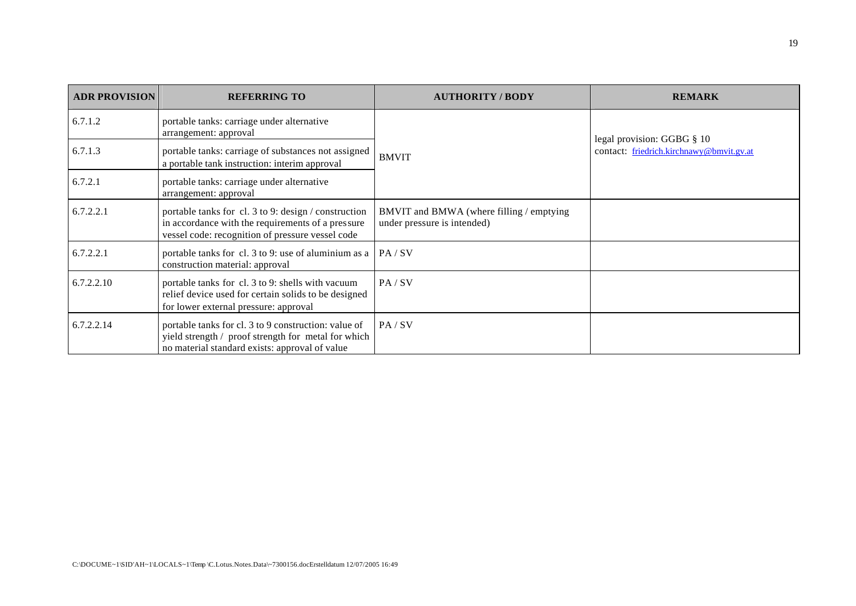| <b>ADR PROVISION</b> | <b>REFERRING TO</b>                                                                                                                                           | <b>AUTHORITY/BODY</b>                                                   | <b>REMARK</b>                            |
|----------------------|---------------------------------------------------------------------------------------------------------------------------------------------------------------|-------------------------------------------------------------------------|------------------------------------------|
| 6.7.1.2              | portable tanks: carriage under alternative<br>arrangement: approval                                                                                           |                                                                         | legal provision: GGBG § 10               |
| 6.7.1.3              | portable tanks: carriage of substances not assigned<br>a portable tank instruction: interim approval                                                          | <b>BMVIT</b>                                                            | contact: friedrich.kirchnawy@bmvit.gv.at |
| 6.7.2.1              | portable tanks: carriage under alternative<br>arrangement: approval                                                                                           |                                                                         |                                          |
| 6.7.2.2.1            | portable tanks for cl. 3 to 9: design / construction<br>in accordance with the requirements of a pressure<br>vessel code: recognition of pressure vessel code | BMVIT and BMWA (where filling / emptying<br>under pressure is intended) |                                          |
| 6.7.2.2.1            | portable tanks for cl. 3 to 9: use of aluminium as a<br>construction material: approval                                                                       | PA/SV                                                                   |                                          |
| 6.7.2.2.10           | portable tanks for cl. 3 to 9: shells with vacuum<br>relief device used for certain solids to be designed<br>for lower external pressure: approval            | PA/SV                                                                   |                                          |
| 6.7.2.2.14           | portable tanks for cl. 3 to 9 construction: value of<br>yield strength / proof strength for metal for which<br>no material standard exists: approval of value | PA/SV                                                                   |                                          |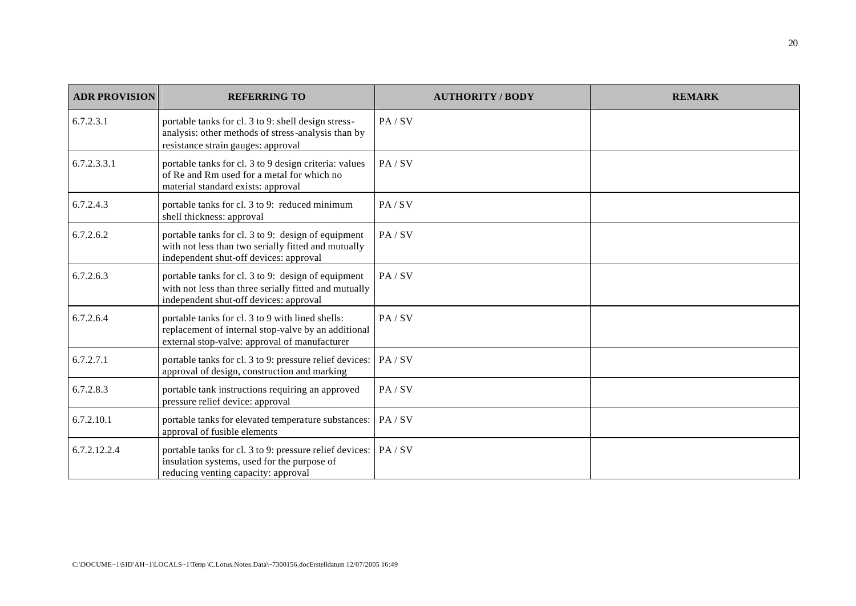| <b>ADR PROVISION</b> | <b>REFERRING TO</b>                                                                                                                                      | <b>AUTHORITY/BODY</b> | <b>REMARK</b> |
|----------------------|----------------------------------------------------------------------------------------------------------------------------------------------------------|-----------------------|---------------|
| 6.7.2.3.1            | portable tanks for cl. 3 to 9: shell design stress-<br>analysis: other methods of stress-analysis than by<br>resistance strain gauges: approval          | PA/SV                 |               |
| 6.7.2.3.3.1          | portable tanks for cl. 3 to 9 design criteria: values<br>of Re and Rm used for a metal for which no<br>material standard exists: approval                | PA / SV               |               |
| 6.7.2.4.3            | portable tanks for cl. 3 to 9: reduced minimum<br>shell thickness: approval                                                                              | PA/SV                 |               |
| 6.7.2.6.2            | portable tanks for cl. 3 to 9: design of equipment<br>with not less than two serially fitted and mutually<br>independent shut-off devices: approval      | PA/SV                 |               |
| 6.7.2.6.3            | portable tanks for cl. 3 to 9: design of equipment<br>with not less than three serially fitted and mutually<br>independent shut-off devices: approval    | PA / SV               |               |
| 6.7.2.6.4            | portable tanks for cl. 3 to 9 with lined shells:<br>replacement of internal stop-valve by an additional<br>external stop-valve: approval of manufacturer | PA/SV                 |               |
| 6.7.2.7.1            | portable tanks for cl. 3 to 9: pressure relief devices:   PA / SV<br>approval of design, construction and marking                                        |                       |               |
| 6.7.2.8.3            | portable tank instructions requiring an approved<br>pressure relief device: approval                                                                     | PA/SV                 |               |
| 6.7.2.10.1           | portable tanks for elevated temperature substances:<br>approval of fusible elements                                                                      | PA / SV               |               |
| 6.7.2.12.2.4         | portable tanks for cl. 3 to 9: pressure relief devices:   PA / SV<br>insulation systems, used for the purpose of<br>reducing venting capacity: approval  |                       |               |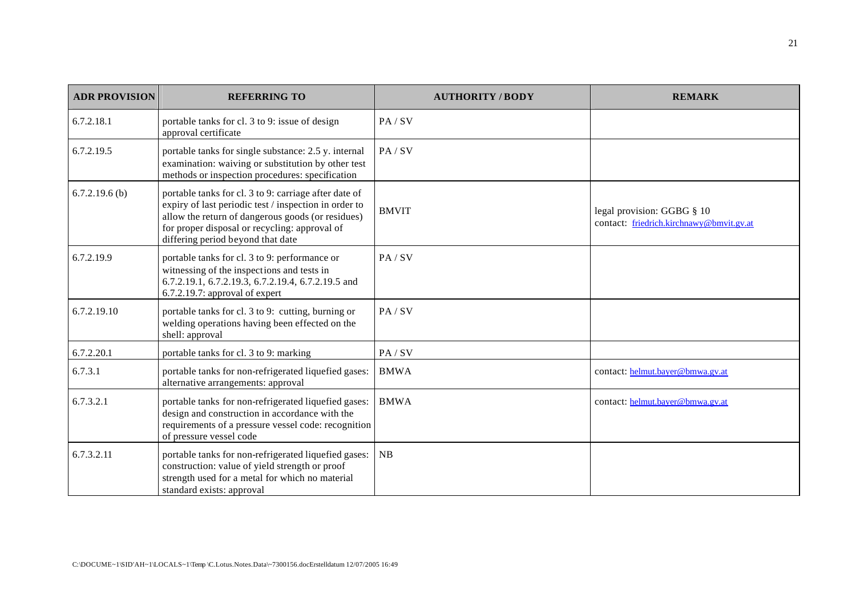| <b>ADR PROVISION</b> | <b>REFERRING TO</b>                                                                                                                                                                                                                                       | <b>AUTHORITY / BODY</b> | <b>REMARK</b>                                                          |
|----------------------|-----------------------------------------------------------------------------------------------------------------------------------------------------------------------------------------------------------------------------------------------------------|-------------------------|------------------------------------------------------------------------|
| 6.7.2.18.1           | portable tanks for cl. 3 to 9: issue of design<br>approval certificate                                                                                                                                                                                    | PA/SV                   |                                                                        |
| 6.7.2.19.5           | portable tanks for single substance: 2.5 y. internal<br>examination: waiving or substitution by other test<br>methods or inspection procedures: specification                                                                                             | PA / SV                 |                                                                        |
| $6.7.2.19.6$ (b)     | portable tanks for cl. 3 to 9: carriage after date of<br>expiry of last periodic test / inspection in order to<br>allow the return of dangerous goods (or residues)<br>for proper disposal or recycling: approval of<br>differing period beyond that date | <b>BMVIT</b>            | legal provision: GGBG § 10<br>contact: friedrich.kirchnawy@bmvit.gv.at |
| 6.7.2.19.9           | portable tanks for cl. 3 to 9: performance or<br>witnessing of the inspections and tests in<br>6.7.2.19.1, 6.7.2.19.3, 6.7.2.19.4, 6.7.2.19.5 and<br>6.7.2.19.7: approval of expert                                                                       | PA/SV                   |                                                                        |
| 6.7.2.19.10          | portable tanks for cl. 3 to 9: cutting, burning or<br>welding operations having been effected on the<br>shell: approval                                                                                                                                   | PA / SV                 |                                                                        |
| 6.7.2.20.1           | portable tanks for cl. 3 to 9: marking                                                                                                                                                                                                                    | PA/SV                   |                                                                        |
| 6.7.3.1              | portable tanks for non-refrigerated liquefied gases:<br>alternative arrangements: approval                                                                                                                                                                | <b>BMWA</b>             | contact: helmut.bayer@bmwa.gv.at                                       |
| 6.7.3.2.1            | portable tanks for non-refrigerated liquefied gases:<br>design and construction in accordance with the<br>requirements of a pressure vessel code: recognition<br>of pressure vessel code                                                                  | <b>BMWA</b>             | contact: helmut.bayer@bmwa.gv.at                                       |
| 6.7.3.2.11           | portable tanks for non-refrigerated liquefied gases:<br>construction: value of yield strength or proof<br>strength used for a metal for which no material<br>standard exists: approval                                                                    | <b>NB</b>               |                                                                        |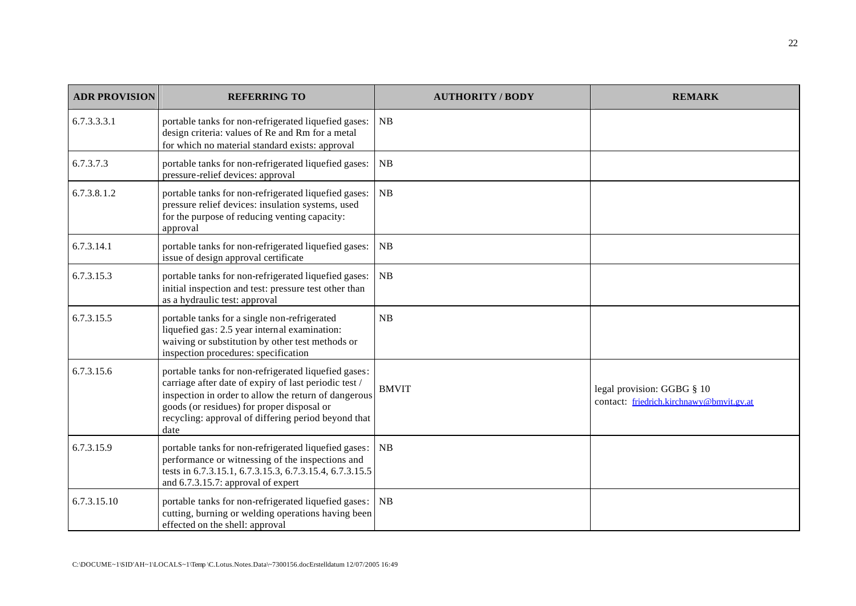| <b>ADR PROVISION</b> | <b>REFERRING TO</b>                                                                                                                                                                                                                                                                | <b>AUTHORITY / BODY</b> | <b>REMARK</b>                                                          |
|----------------------|------------------------------------------------------------------------------------------------------------------------------------------------------------------------------------------------------------------------------------------------------------------------------------|-------------------------|------------------------------------------------------------------------|
| 6.7.3.3.3.1          | portable tanks for non-refrigerated liquefied gases:<br>design criteria: values of Re and Rm for a metal<br>for which no material standard exists: approval                                                                                                                        | NB                      |                                                                        |
| 6.7.3.7.3            | portable tanks for non-refrigerated liquefied gases:<br>pressure-relief devices: approval                                                                                                                                                                                          | NB                      |                                                                        |
| 6.7.3.8.1.2          | portable tanks for non-refrigerated liquefied gases:<br>pressure relief devices: insulation systems, used<br>for the purpose of reducing venting capacity:<br>approval                                                                                                             | NB                      |                                                                        |
| 6.7.3.14.1           | portable tanks for non-refrigerated liquefied gases:<br>issue of design approval certificate                                                                                                                                                                                       | NB                      |                                                                        |
| 6.7.3.15.3           | portable tanks for non-refrigerated liquefied gases:<br>initial inspection and test: pressure test other than<br>as a hydraulic test: approval                                                                                                                                     | NB                      |                                                                        |
| 6.7.3.15.5           | portable tanks for a single non-refrigerated<br>liquefied gas: 2.5 year internal examination:<br>waiving or substitution by other test methods or<br>inspection procedures: specification                                                                                          | NB                      |                                                                        |
| 6.7.3.15.6           | portable tanks for non-refrigerated liquefied gases:<br>carriage after date of expiry of last periodic test /<br>inspection in order to allow the return of dangerous<br>goods (or residues) for proper disposal or<br>recycling: approval of differing period beyond that<br>date | <b>BMVIT</b>            | legal provision: GGBG § 10<br>contact: friedrich.kirchnawy@bmvit.gv.at |
| 6.7.3.15.9           | portable tanks for non-refrigerated liquefied gases:<br>performance or witnessing of the inspections and<br>tests in 6.7.3.15.1, 6.7.3.15.3, 6.7.3.15.4, 6.7.3.15.5<br>and 6.7.3.15.7: approval of expert                                                                          | NB                      |                                                                        |
| 6.7.3.15.10          | portable tanks for non-refrigerated liquefied gases:<br>cutting, burning or welding operations having been<br>effected on the shell: approval                                                                                                                                      | NB                      |                                                                        |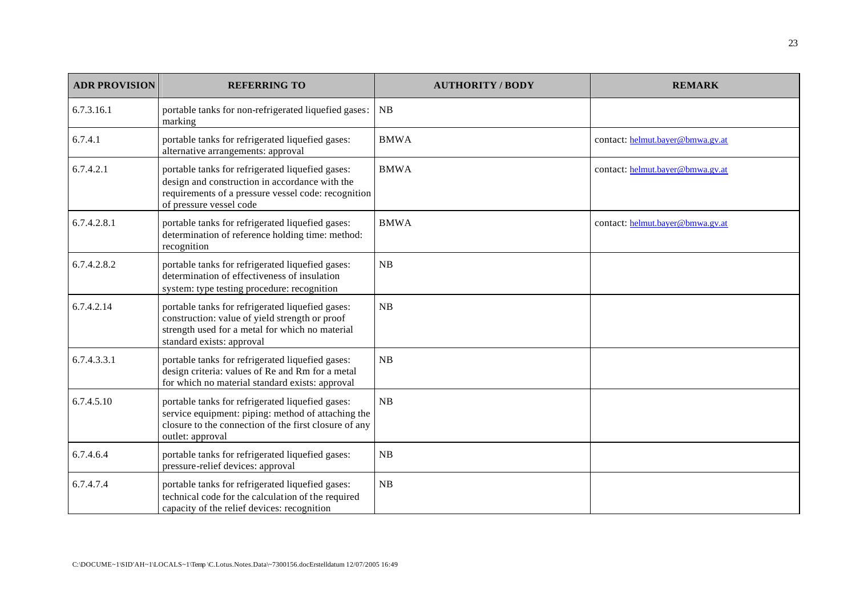| <b>ADR PROVISION</b> | <b>REFERRING TO</b>                                                                                                                                                                  | <b>AUTHORITY / BODY</b> | <b>REMARK</b>                    |
|----------------------|--------------------------------------------------------------------------------------------------------------------------------------------------------------------------------------|-------------------------|----------------------------------|
| 6.7.3.16.1           | portable tanks for non-refrigerated liquefied gases:<br>marking                                                                                                                      | <b>NB</b>               |                                  |
| 6.7.4.1              | portable tanks for refrigerated liquefied gases:<br>alternative arrangements: approval                                                                                               | <b>BMWA</b>             | contact: helmut.bayer@bmwa.gv.at |
| 6.7.4.2.1            | portable tanks for refrigerated liquefied gases:<br>design and construction in accordance with the<br>requirements of a pressure vessel code: recognition<br>of pressure vessel code | <b>BMWA</b>             | contact: helmut.bayer@bmwa.gv.at |
| 6.7.4.2.8.1          | portable tanks for refrigerated liquefied gases:<br>determination of reference holding time: method:<br>recognition                                                                  | <b>BMWA</b>             | contact: helmut.bayer@bmwa.gv.at |
| 6.7.4.2.8.2          | portable tanks for refrigerated liquefied gases:<br>determination of effectiveness of insulation<br>system: type testing procedure: recognition                                      | NB                      |                                  |
| 6.7.4.2.14           | portable tanks for refrigerated liquefied gases:<br>construction: value of yield strength or proof<br>strength used for a metal for which no material<br>standard exists: approval   | NB                      |                                  |
| 6.7.4.3.3.1          | portable tanks for refrigerated liquefied gases:<br>design criteria: values of Re and Rm for a metal<br>for which no material standard exists: approval                              | NB                      |                                  |
| 6.7.4.5.10           | portable tanks for refrigerated liquefied gases:<br>service equipment: piping: method of attaching the<br>closure to the connection of the first closure of any<br>outlet: approval  | NB                      |                                  |
| 6.7.4.6.4            | portable tanks for refrigerated liquefied gases:<br>pressure-relief devices: approval                                                                                                | NB                      |                                  |
| 6.7.4.7.4            | portable tanks for refrigerated liquefied gases:<br>technical code for the calculation of the required<br>capacity of the relief devices: recognition                                | NB                      |                                  |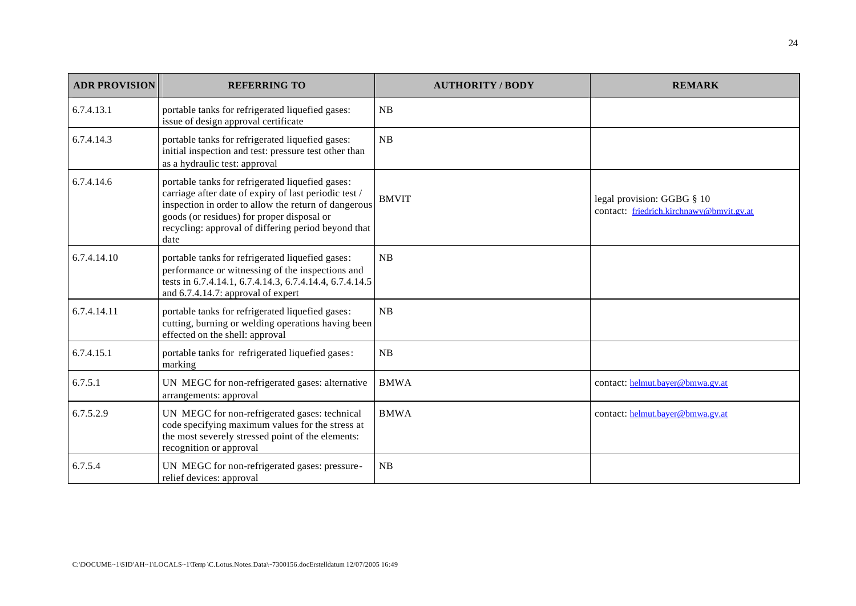| <b>ADR PROVISION</b> | <b>REFERRING TO</b>                                                                                                                                                                                                                                                            | <b>AUTHORITY / BODY</b> | <b>REMARK</b>                                                          |
|----------------------|--------------------------------------------------------------------------------------------------------------------------------------------------------------------------------------------------------------------------------------------------------------------------------|-------------------------|------------------------------------------------------------------------|
| 6.7.4.13.1           | portable tanks for refrigerated liquefied gases:<br>issue of design approval certificate                                                                                                                                                                                       | <b>NB</b>               |                                                                        |
| 6.7.4.14.3           | portable tanks for refrigerated liquefied gases:<br>initial inspection and test: pressure test other than<br>as a hydraulic test: approval                                                                                                                                     | NB                      |                                                                        |
| 6.7.4.14.6           | portable tanks for refrigerated liquefied gases:<br>carriage after date of expiry of last periodic test /<br>inspection in order to allow the return of dangerous<br>goods (or residues) for proper disposal or<br>recycling: approval of differing period beyond that<br>date | <b>BMVIT</b>            | legal provision: GGBG § 10<br>contact: friedrich.kirchnawy@bmvit.gv.at |
| 6.7.4.14.10          | portable tanks for refrigerated liquefied gases:<br>performance or witnessing of the inspections and<br>tests in 6.7.4.14.1, 6.7.4.14.3, 6.7.4.14.4, 6.7.4.14.5<br>and 6.7.4.14.7: approval of expert                                                                          | NB                      |                                                                        |
| 6.7.4.14.11          | portable tanks for refrigerated liquefied gases:<br>cutting, burning or welding operations having been<br>effected on the shell: approval                                                                                                                                      | NB                      |                                                                        |
| 6.7.4.15.1           | portable tanks for refrigerated liquefied gases:<br>marking                                                                                                                                                                                                                    | NB                      |                                                                        |
| 6.7.5.1              | UN MEGC for non-refrigerated gases: alternative<br>arrangements: approval                                                                                                                                                                                                      | <b>BMWA</b>             | contact: helmut.bayer@bmwa.gv.at                                       |
| 6.7.5.2.9            | UN MEGC for non-refrigerated gases: technical<br>code specifying maximum values for the stress at<br>the most severely stressed point of the elements:<br>recognition or approval                                                                                              | <b>BMWA</b>             | contact: helmut.bayer@bmwa.gv.at                                       |
| 6.7.5.4              | UN MEGC for non-refrigerated gases: pressure-<br>relief devices: approval                                                                                                                                                                                                      | NB                      |                                                                        |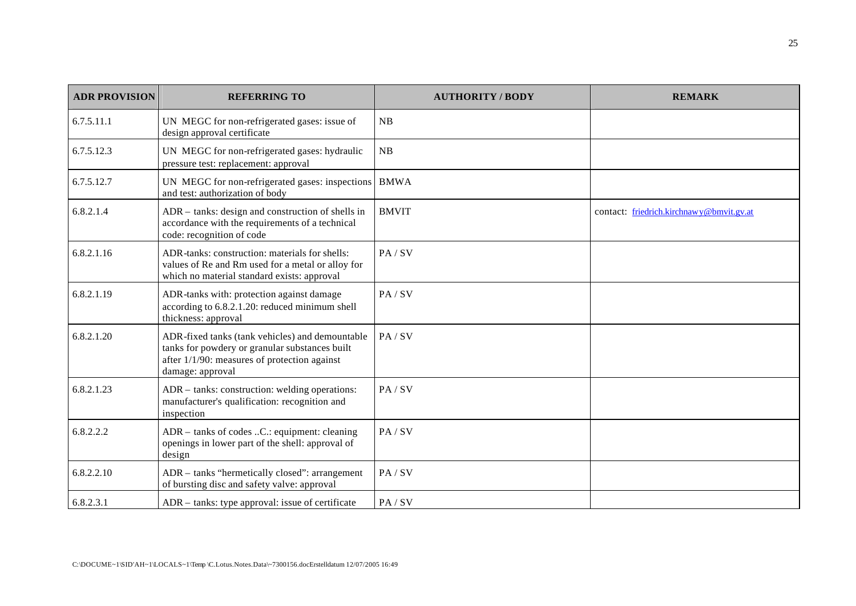| <b>ADR PROVISION</b> | <b>REFERRING TO</b>                                                                                                                                                      | <b>AUTHORITY/BODY</b> | <b>REMARK</b>                            |
|----------------------|--------------------------------------------------------------------------------------------------------------------------------------------------------------------------|-----------------------|------------------------------------------|
| 6.7.5.11.1           | UN MEGC for non-refrigerated gases: issue of<br>design approval certificate                                                                                              | NB                    |                                          |
| 6.7.5.12.3           | UN MEGC for non-refrigerated gases: hydraulic<br>pressure test: replacement: approval                                                                                    | NB                    |                                          |
| 6.7.5.12.7           | UN MEGC for non-refrigerated gases: inspections<br>and test: authorization of body                                                                                       | <b>BMWA</b>           |                                          |
| 6.8.2.1.4            | ADR - tanks: design and construction of shells in<br>accordance with the requirements of a technical<br>code: recognition of code                                        | <b>BMVIT</b>          | contact: friedrich.kirchnawy@bmvit.gv.at |
| 6.8.2.1.16           | ADR-tanks: construction: materials for shells:<br>values of Re and Rm used for a metal or alloy for<br>which no material standard exists: approval                       | PA/SV                 |                                          |
| 6.8.2.1.19           | ADR-tanks with: protection against damage<br>according to 6.8.2.1.20: reduced minimum shell<br>thickness: approval                                                       | PA/SV                 |                                          |
| 6.8.2.1.20           | ADR-fixed tanks (tank vehicles) and demountable<br>tanks for powdery or granular substances built<br>after $1/1/90$ : measures of protection against<br>damage: approval | PA/SV                 |                                          |
| 6.8.2.1.23           | ADR – tanks: construction: welding operations:<br>manufacturer's qualification: recognition and<br>inspection                                                            | PA/SV                 |                                          |
| 6.8.2.2.2            | ADR – tanks of codes C.: equipment: cleaning<br>openings in lower part of the shell: approval of<br>design                                                               | PA / SV               |                                          |
| 6.8.2.2.10           | ADR – tanks "hermetically closed": arrangement<br>of bursting disc and safety valve: approval                                                                            | PA / SV               |                                          |
| 6.8.2.3.1            | ADR – tanks: type approval: issue of certificate                                                                                                                         | PA / SV               |                                          |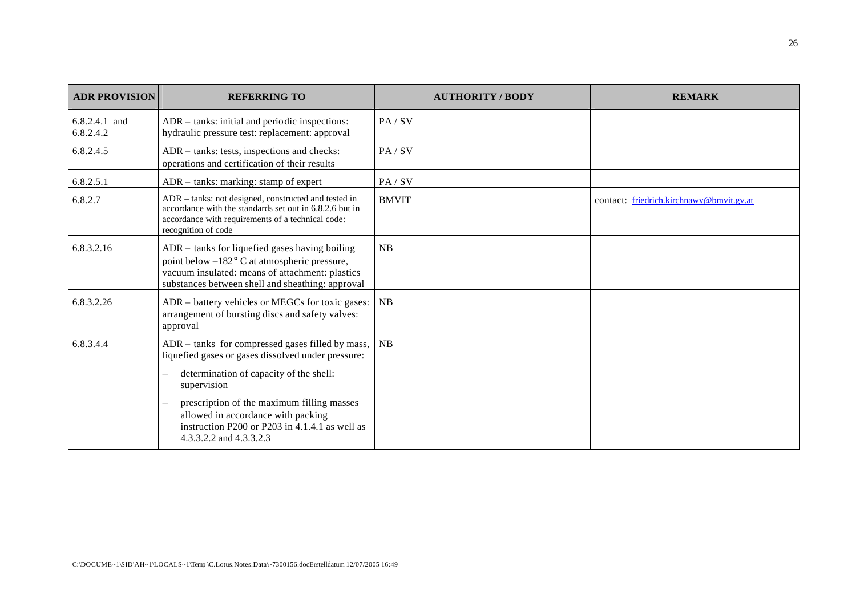| <b>ADR PROVISION</b>       | <b>REFERRING TO</b>                                                                                                                                                                                   | <b>AUTHORITY/BODY</b> | <b>REMARK</b>                            |
|----------------------------|-------------------------------------------------------------------------------------------------------------------------------------------------------------------------------------------------------|-----------------------|------------------------------------------|
| 6.8.2.4.1 and<br>6.8.2.4.2 | ADR - tanks: initial and periodic inspections:<br>hydraulic pressure test: replacement: approval                                                                                                      | PA / SV               |                                          |
| 6.8.2.4.5                  | ADR - tanks: tests, inspections and checks:<br>operations and certification of their results                                                                                                          | PA / SV               |                                          |
| 6.8.2.5.1                  | ADR – tanks: marking: stamp of expert                                                                                                                                                                 | PA/SV                 |                                          |
| 6.8.2.7                    | ADR - tanks: not designed, constructed and tested in<br>accordance with the standards set out in 6.8.2.6 but in<br>accordance with requirements of a technical code:<br>recognition of code           | <b>BMVIT</b>          | contact: friedrich.kirchnawy@bmvit.gv.at |
| 6.8.3.2.16                 | ADR – tanks for liquefied gases having boiling<br>point below -182° C at atmospheric pressure,<br>vacuum insulated: means of attachment: plastics<br>substances between shell and sheathing: approval | <b>NB</b>             |                                          |
| 6.8.3.2.26                 | ADR – battery vehicles or MEGCs for toxic gases:<br>arrangement of bursting discs and safety valves:<br>approval                                                                                      | <b>NB</b>             |                                          |
| 6.8.3.4.4                  | ADR – tanks for compressed gases filled by mass,<br>liquefied gases or gases dissolved under pressure:                                                                                                | NB                    |                                          |
|                            | determination of capacity of the shell:<br>supervision                                                                                                                                                |                       |                                          |
|                            | prescription of the maximum filling masses<br>$\overline{\phantom{0}}$<br>allowed in accordance with packing<br>instruction P200 or P203 in 4.1.4.1 as well as<br>4.3.3.2.2 and 4.3.3.2.3             |                       |                                          |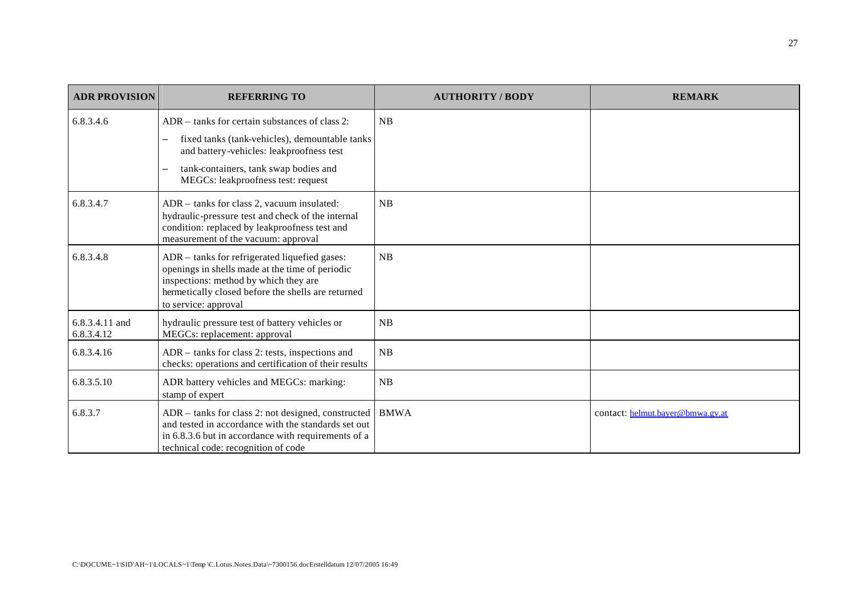| <b>ADR PROVISION</b>         | <b>REFERRING TO</b>                                                                                                                                                                                                         | <b>AUTHORITY / BODY</b> | <b>REMARK</b>                    |
|------------------------------|-----------------------------------------------------------------------------------------------------------------------------------------------------------------------------------------------------------------------------|-------------------------|----------------------------------|
| 6.8.3.4.6                    | ADR – tanks for certain substances of class 2:<br>fixed tanks (tank-vehicles), demountable tanks<br>and battery-vehicles: leakproofness test<br>tank-containers, tank swap bodies and<br>MEGCs: leakproofness test: request | <b>NB</b>               |                                  |
| 6.8.3.4.7                    | ADR - tanks for class 2, vacuum insulated:<br>hydraulic-pressure test and check of the internal<br>condition: replaced by leakproofness test and<br>measurement of the vacuum: approval                                     | <b>NB</b>               |                                  |
| 6.8.3.4.8                    | ADR – tanks for refrigerated liquefied gases:<br>openings in shells made at the time of periodic<br>inspections: method by which they are<br>hermetically closed before the shells are returned<br>to service: approval     | NB                      |                                  |
| 6.8.3.4.11 and<br>6.8.3.4.12 | hydraulic pressure test of battery vehicles or<br>MEGCs: replacement: approval                                                                                                                                              | NB                      |                                  |
| 6.8.3.4.16                   | ADR – tanks for class 2: tests, inspections and<br>checks: operations and certification of their results                                                                                                                    | NB                      |                                  |
| 6.8.3.5.10                   | ADR battery vehicles and MEGCs: marking:<br>stamp of expert                                                                                                                                                                 | NB                      |                                  |
| 6.8.3.7                      | ADR – tanks for class 2: not designed, constructed<br>and tested in accordance with the standards set out<br>in 6.8.3.6 but in accordance with requirements of a<br>technical code: recognition of code                     | <b>BMWA</b>             | contact: helmut.bayer@bmwa.gv.at |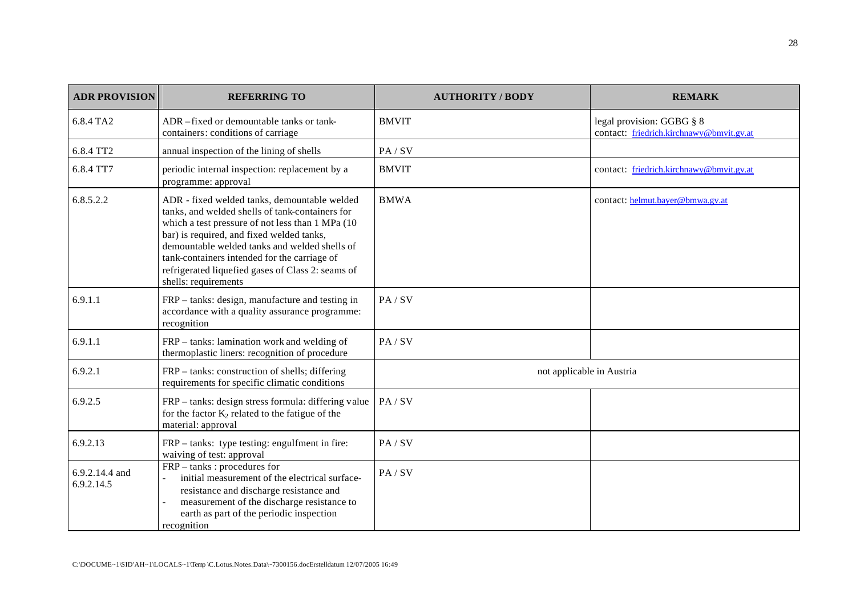| <b>ADR PROVISION</b>         | <b>REFERRING TO</b>                                                                                                                                                                                                                                                                                                                                                             | <b>AUTHORITY / BODY</b>   | <b>REMARK</b>                                                         |
|------------------------------|---------------------------------------------------------------------------------------------------------------------------------------------------------------------------------------------------------------------------------------------------------------------------------------------------------------------------------------------------------------------------------|---------------------------|-----------------------------------------------------------------------|
| 6.8.4 TA2                    | ADR -fixed or demountable tanks or tank-<br>containers: conditions of carriage                                                                                                                                                                                                                                                                                                  | <b>BMVIT</b>              | legal provision: GGBG § 8<br>contact: friedrich.kirchnawy@bmvit.gv.at |
| 6.8.4 TT2                    | annual inspection of the lining of shells                                                                                                                                                                                                                                                                                                                                       | PA/SV                     |                                                                       |
| 6.8.4 TT7                    | periodic internal inspection: replacement by a<br>programme: approval                                                                                                                                                                                                                                                                                                           | <b>BMVIT</b>              | contact: friedrich.kirchnawy@bmvit.gv.at                              |
| 6.8.5.2.2                    | ADR - fixed welded tanks, demountable welded<br>tanks, and welded shells of tank-containers for<br>which a test pressure of not less than 1 MPa (10)<br>bar) is required, and fixed welded tanks,<br>demountable welded tanks and welded shells of<br>tank-containers intended for the carriage of<br>refrigerated liquefied gases of Class 2: seams of<br>shells: requirements | <b>BMWA</b>               | contact: helmut.bayer@bmwa.gv.at                                      |
| 6.9.1.1                      | FRP – tanks: design, manufacture and testing in<br>accordance with a quality assurance programme:<br>recognition                                                                                                                                                                                                                                                                | PA/SV                     |                                                                       |
| 6.9.1.1                      | FRP - tanks: lamination work and welding of<br>thermoplastic liners: recognition of procedure                                                                                                                                                                                                                                                                                   | PA/SV                     |                                                                       |
| 6.9.2.1                      | FRP – tanks: construction of shells; differing<br>requirements for specific climatic conditions                                                                                                                                                                                                                                                                                 | not applicable in Austria |                                                                       |
| 6.9.2.5                      | FRP – tanks: design stress formula: differing value<br>for the factor $K_2$ related to the fatigue of the<br>material: approval                                                                                                                                                                                                                                                 | PA/SV                     |                                                                       |
| 6.9.2.13                     | FRP - tanks: type testing: engulfment in fire:<br>waiving of test: approval                                                                                                                                                                                                                                                                                                     | PA/SV                     |                                                                       |
| 6.9.2.14.4 and<br>6.9.2.14.5 | FRP – tanks : procedures for<br>initial measurement of the electrical surface-<br>resistance and discharge resistance and<br>measurement of the discharge resistance to<br>earth as part of the periodic inspection<br>recognition                                                                                                                                              | PA/SV                     |                                                                       |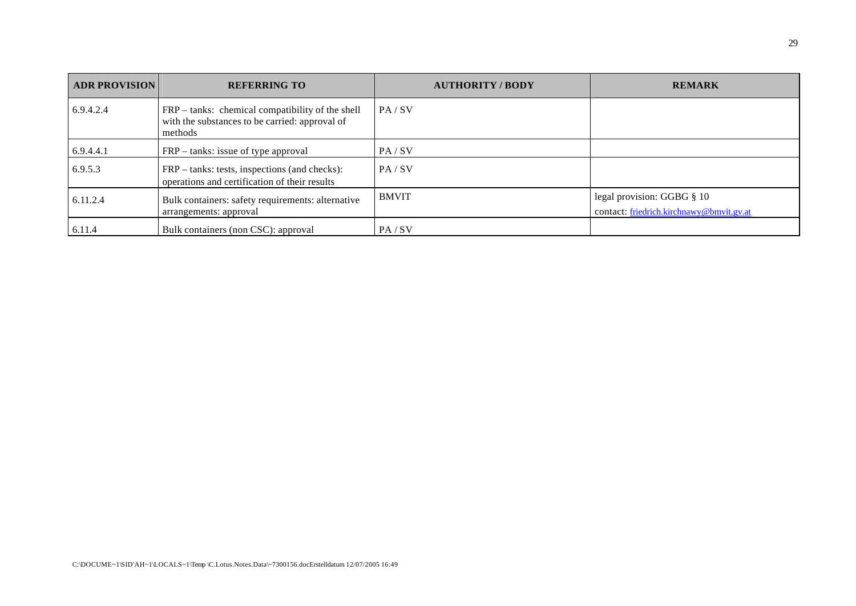| <b>ADR PROVISION</b> | <b>REFERRING TO</b>                                                                                           | <b>AUTHORITY / BODY</b> | <b>REMARK</b>                                                          |
|----------------------|---------------------------------------------------------------------------------------------------------------|-------------------------|------------------------------------------------------------------------|
| 6.9.4.2.4            | FRP – tanks: chemical compatibility of the shell<br>with the substances to be carried: approval of<br>methods | PA / SV                 |                                                                        |
| 6.9.4.4.1            | FRP – tanks: issue of type approval                                                                           | PA / SV                 |                                                                        |
| 6.9.5.3              | FRP – tanks: tests, inspections (and checks):<br>operations and certification of their results                | PA / SV                 |                                                                        |
| 6.11.2.4             | Bulk containers: safety requirements: alternative<br>arrangements: approval                                   | <b>BMVIT</b>            | legal provision: GGBG § 10<br>contact: friedrich.kirchnawy@bmvit.gv.at |
| 6.11.4               | Bulk containers (non CSC): approval                                                                           | PA/SV                   |                                                                        |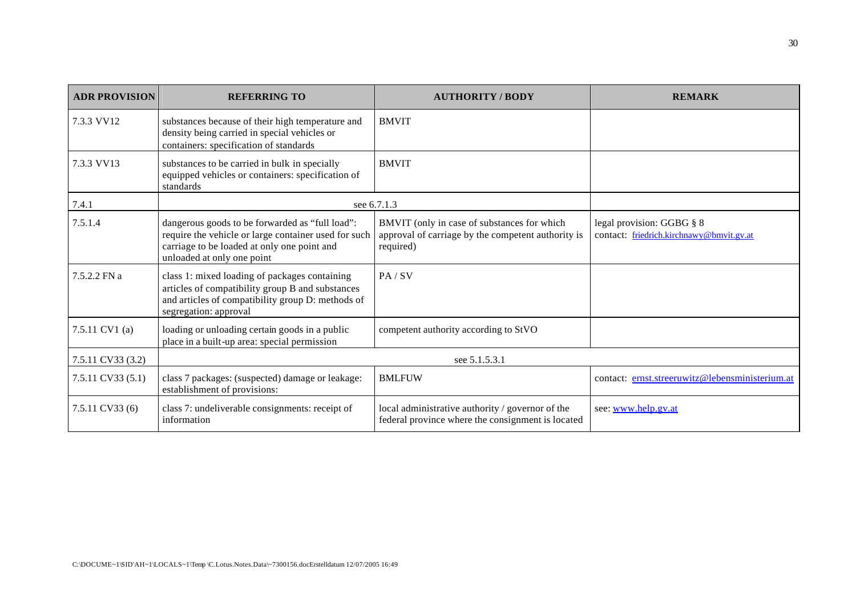| <b>ADR PROVISION</b> | <b>REFERRING TO</b>                                                                                                                                                                  | <b>AUTHORITY/BODY</b>                                                                                          | <b>REMARK</b>                                                         |
|----------------------|--------------------------------------------------------------------------------------------------------------------------------------------------------------------------------------|----------------------------------------------------------------------------------------------------------------|-----------------------------------------------------------------------|
| 7.3.3 VV12           | substances because of their high temperature and<br>density being carried in special vehicles or<br>containers: specification of standards                                           | <b>BMVIT</b>                                                                                                   |                                                                       |
| 7.3.3 VV13           | substances to be carried in bulk in specially<br>equipped vehicles or containers: specification of<br>standards                                                                      | <b>BMVIT</b>                                                                                                   |                                                                       |
| 7.4.1                | see 6.7.1.3                                                                                                                                                                          |                                                                                                                |                                                                       |
| 7.5.1.4              | dangerous goods to be forwarded as "full load":<br>require the vehicle or large container used for such<br>carriage to be loaded at only one point and<br>unloaded at only one point | BMVIT (only in case of substances for which<br>approval of carriage by the competent authority is<br>required) | legal provision: GGBG § 8<br>contact: friedrich.kirchnawy@bmvit.gv.at |
| $7.5.2.2$ FN a       | class 1: mixed loading of packages containing<br>articles of compatibility group B and substances<br>and articles of compatibility group D: methods of<br>segregation: approval      | PA / SV                                                                                                        |                                                                       |
| 7.5.11 CV1 (a)       | loading or unloading certain goods in a public<br>place in a built-up area: special permission                                                                                       | competent authority according to StVO                                                                          |                                                                       |
| 7.5.11 CV33 (3.2)    | see 5.1.5.3.1                                                                                                                                                                        |                                                                                                                |                                                                       |
| 7.5.11 CV33 (5.1)    | class 7 packages: (suspected) damage or leakage:<br>establishment of provisions:                                                                                                     | <b>BMLFUW</b>                                                                                                  | contact: ernst.streeruwitz@lebensministerium.at                       |
| 7.5.11 CV33 (6)      | class 7: undeliverable consignments: receipt of<br>information                                                                                                                       | local administrative authority / governor of the<br>federal province where the consignment is located          | see: www.help.gv.at                                                   |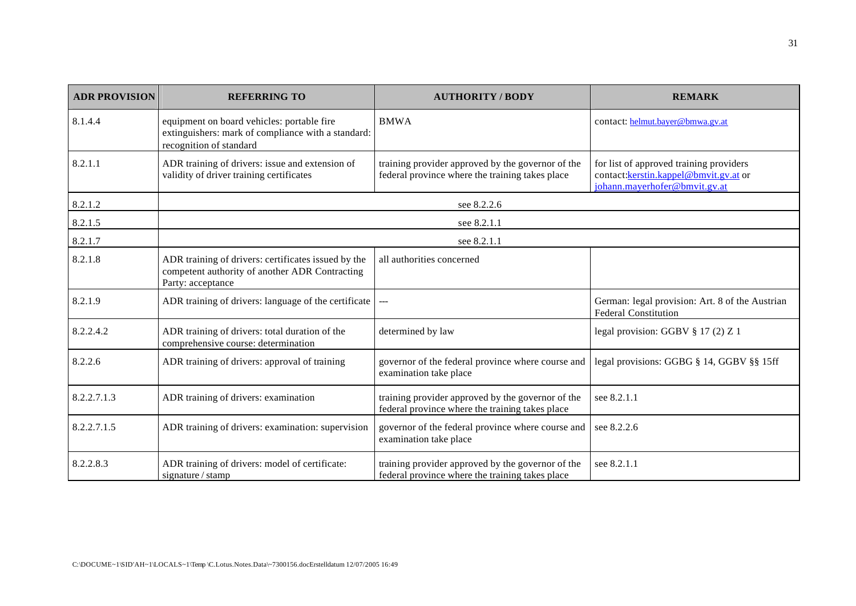| <b>ADR PROVISION</b> | <b>REFERRING TO</b>                                                                                                         | <b>AUTHORITY / BODY</b>                                                                              | <b>REMARK</b>                                                                                                      |  |
|----------------------|-----------------------------------------------------------------------------------------------------------------------------|------------------------------------------------------------------------------------------------------|--------------------------------------------------------------------------------------------------------------------|--|
| 8.1.4.4              | equipment on board vehicles: portable fire<br>extinguishers: mark of compliance with a standard:<br>recognition of standard | <b>BMWA</b>                                                                                          | contact: helmut.bayer@bmwa.gv.at                                                                                   |  |
| 8.2.1.1              | ADR training of drivers: issue and extension of<br>validity of driver training certificates                                 | training provider approved by the governor of the<br>federal province where the training takes place | for list of approved training providers<br>contact: kerstin.kappel@bmvit.gv.at or<br>johann.mayerhofer@bmvit.gv.at |  |
| 8.2.1.2              |                                                                                                                             | see 8.2.2.6                                                                                          |                                                                                                                    |  |
| 8.2.1.5              | see 8.2.1.1                                                                                                                 |                                                                                                      |                                                                                                                    |  |
| 8.2.1.7              | see 8.2.1.1                                                                                                                 |                                                                                                      |                                                                                                                    |  |
| 8.2.1.8              | ADR training of drivers: certificates issued by the<br>competent authority of another ADR Contracting<br>Party: acceptance  | all authorities concerned                                                                            |                                                                                                                    |  |
| 8.2.1.9              | ADR training of drivers: language of the certificate                                                                        | $\sim$ $\sim$                                                                                        | German: legal provision: Art. 8 of the Austrian<br><b>Federal Constitution</b>                                     |  |
| 8.2.2.4.2            | ADR training of drivers: total duration of the<br>comprehensive course: determination                                       | determined by law                                                                                    | legal provision: GGBV $\S 17(2)Z1$                                                                                 |  |
| 8.2.2.6              | ADR training of drivers: approval of training                                                                               | governor of the federal province where course and<br>examination take place                          | legal provisions: GGBG § 14, GGBV § § 15ff                                                                         |  |
| 8.2.2.7.1.3          | ADR training of drivers: examination                                                                                        | training provider approved by the governor of the<br>federal province where the training takes place | see 8.2.1.1                                                                                                        |  |
| 8.2.2.7.1.5          | ADR training of drivers: examination: supervision                                                                           | governor of the federal province where course and<br>examination take place                          | see 8.2.2.6                                                                                                        |  |
| 8.2.2.8.3            | ADR training of drivers: model of certificate:<br>signature / stamp                                                         | training provider approved by the governor of the<br>federal province where the training takes place | see 8.2.1.1                                                                                                        |  |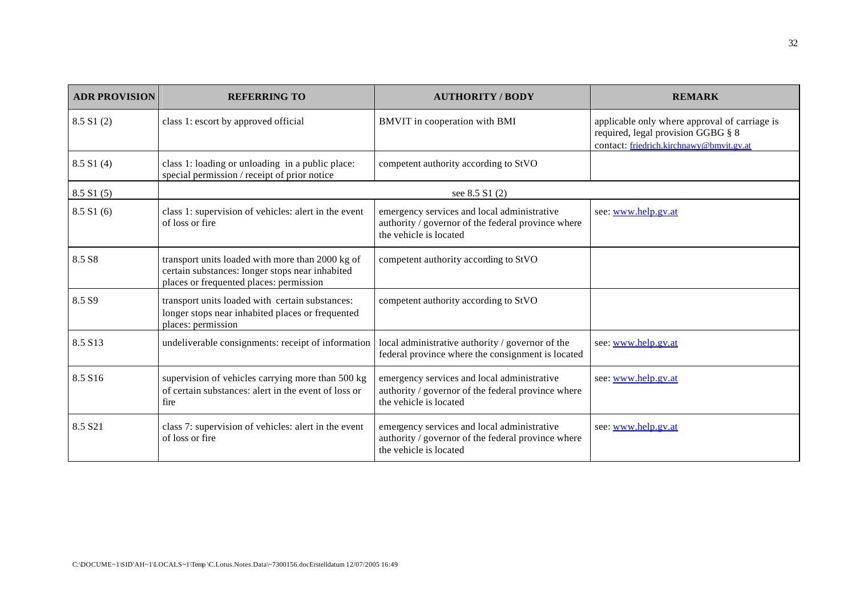| <b>ADR PROVISION</b> | <b>REFERRING TO</b>                                                                                                                            | <b>AUTHORITY / BODY</b>                                                                                                     | <b>REMARK</b>                                                                                                                   |
|----------------------|------------------------------------------------------------------------------------------------------------------------------------------------|-----------------------------------------------------------------------------------------------------------------------------|---------------------------------------------------------------------------------------------------------------------------------|
| 8.5 S1(2)            | class 1: escort by approved official                                                                                                           | BMVIT in cooperation with BMI                                                                                               | applicable only where approval of carriage is<br>required, legal provision GGBG § 8<br>contact: friedrich.kirchnawy@bmvit.gv.at |
| 8.5 S1(4)            | class 1: loading or unloading in a public place:<br>special permission / receipt of prior notice                                               | competent authority according to StVO                                                                                       |                                                                                                                                 |
| 8.5 S1(5)            |                                                                                                                                                | see 8.5 S1 (2)                                                                                                              |                                                                                                                                 |
| 8.5 S1(6)            | class 1: supervision of vehicles: alert in the event<br>of loss or fire                                                                        | emergency services and local administrative<br>authority / governor of the federal province where<br>the vehicle is located | see: www.help.gv.at                                                                                                             |
| 8.5 S <sub>8</sub>   | transport units loaded with more than 2000 kg of<br>certain substances: longer stops near inhabited<br>places or frequented places: permission | competent authority according to StVO                                                                                       |                                                                                                                                 |
| 8.5 S <sub>9</sub>   | transport units loaded with certain substances:<br>longer stops near inhabited places or frequented<br>places: permission                      | competent authority according to StVO                                                                                       |                                                                                                                                 |
| 8.5 S13              | undeliverable consignments: receipt of information                                                                                             | local administrative authority / governor of the<br>federal province where the consignment is located                       | see: www.help.gv.at                                                                                                             |
| 8.5 S16              | supervision of vehicles carrying more than 500 kg<br>of certain substances: alert in the event of loss or<br>fire                              | emergency services and local administrative<br>authority / governor of the federal province where<br>the vehicle is located | see: www.help.gv.at                                                                                                             |
| 8.5 S21              | class 7: supervision of vehicles: alert in the event<br>of loss or fire                                                                        | emergency services and local administrative<br>authority / governor of the federal province where<br>the vehicle is located | see: www.help.gv.at                                                                                                             |